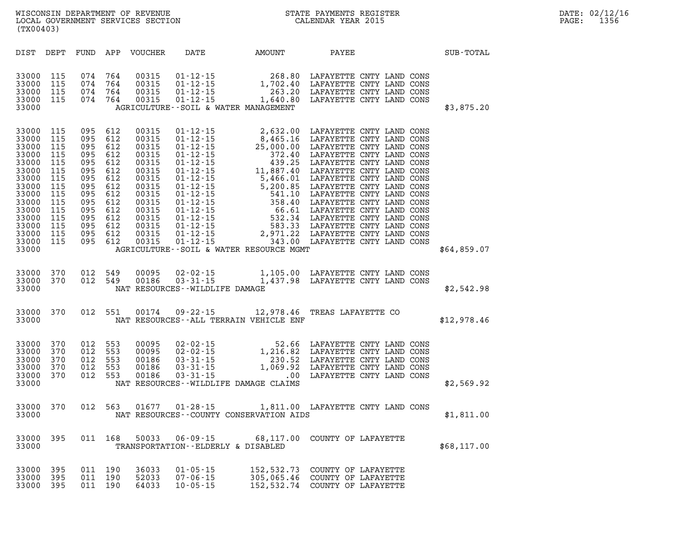| DATE: | 02/12/16 |
|-------|----------|
| PAGE: | 1356     |

| WISCONSIN DEPARTMENT OF REVENUE   | STATE PAYMENTS REGISTER |       | DATE: 02/12/16 |
|-----------------------------------|-------------------------|-------|----------------|
| LOCAL GOVERNMENT SERVICES SECTION | CALENDAR YEAR 2015      | PAGE: | 1356           |
| (TX00403)                         |                         |       |                |

| \$3,875.20  |
|-------------|
|             |
| \$64,859.07 |
| \$2,542.98  |
| \$12,978.46 |
| \$2,569.92  |
| \$1,811.00  |
| \$68,117.00 |
|             |
|             |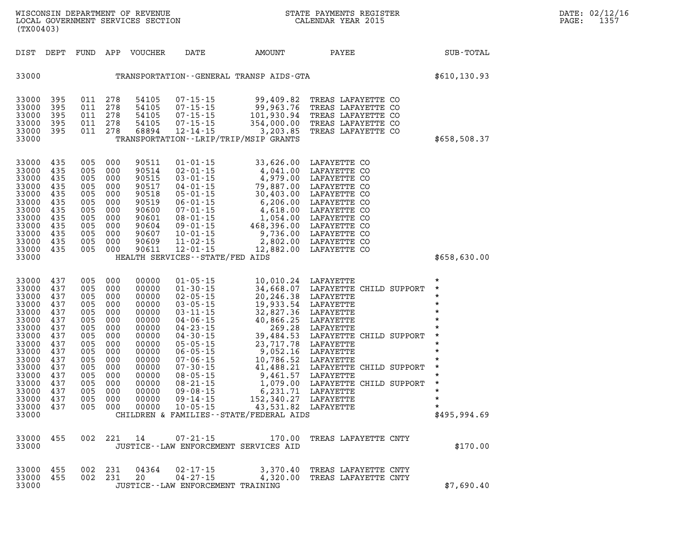|                                                                                                                                                                    | WISCONSIN DEPARTMENT OF REVENUE<br>LOCAL GOVERNMENT SERVICES SECTION<br>(TX00403)                            |                                                                                                              |                                                                                                                         |                                                                                                                                              |                                                                                                                                                                                                                                                                                              | N<br>N<br>N<br>STATE PAYMENTS REGISTER<br>CALENDAR YEAR 2015                                                                                                                                                                                                                                                                             |                                                                                                                                                                                                                                                                                                    |  |                                                                                                                                                                         | DATE: 02/12/16<br>1357<br>PAGE: |
|--------------------------------------------------------------------------------------------------------------------------------------------------------------------|--------------------------------------------------------------------------------------------------------------|--------------------------------------------------------------------------------------------------------------|-------------------------------------------------------------------------------------------------------------------------|----------------------------------------------------------------------------------------------------------------------------------------------|----------------------------------------------------------------------------------------------------------------------------------------------------------------------------------------------------------------------------------------------------------------------------------------------|------------------------------------------------------------------------------------------------------------------------------------------------------------------------------------------------------------------------------------------------------------------------------------------------------------------------------------------|----------------------------------------------------------------------------------------------------------------------------------------------------------------------------------------------------------------------------------------------------------------------------------------------------|--|-------------------------------------------------------------------------------------------------------------------------------------------------------------------------|---------------------------------|
|                                                                                                                                                                    | DIST DEPT                                                                                                    |                                                                                                              |                                                                                                                         | FUND APP VOUCHER                                                                                                                             | DATE                                                                                                                                                                                                                                                                                         | AMOUNT                                                                                                                                                                                                                                                                                                                                   | PAYEE                                                                                                                                                                                                                                                                                              |  | SUB-TOTAL                                                                                                                                                               |                                 |
| 33000                                                                                                                                                              |                                                                                                              |                                                                                                              |                                                                                                                         |                                                                                                                                              |                                                                                                                                                                                                                                                                                              |                                                                                                                                                                                                                                                                                                                                          | TRANSPORTATION - GENERAL TRANSP AIDS - GTA                                                                                                                                                                                                                                                         |  | \$610,130.93                                                                                                                                                            |                                 |
| 33000<br>33000<br>33000<br>33000<br>33000<br>33000                                                                                                                 | 395<br>395<br>395<br>395<br>395                                                                              | 011<br>011 278<br>011<br>011<br>011 278                                                                      | 278<br>278<br>278                                                                                                       | 54105<br>54105<br>54105<br>54105<br>68894                                                                                                    | $07 - 15 - 15$<br>$07 - 15 - 15$<br>$07 - 15 - 15$<br>$07 - 15 - 15$<br>$12 - 14 - 15$<br>TRANSPORTATION - - LRIP/TRIP/MSIP GRANTS                                                                                                                                                           | 99,409.82<br>99,963.76<br>101,930.94<br>354.000.00<br>354,000.00<br>3,203.85                                                                                                                                                                                                                                                             | TREAS LAFAYETTE CO<br>TREAS LAFAYETTE CO<br>TREAS LAFAYETTE CO<br>TREAS LAFAYETTE CO<br>TREAS LAFAYETTE CO                                                                                                                                                                                         |  | \$658,508.37                                                                                                                                                            |                                 |
| 33000<br>33000<br>33000<br>33000<br>33000<br>33000<br>33000<br>33000<br>33000<br>33000<br>33000<br>33000<br>33000                                                  | 435<br>435<br>435<br>435<br>435<br>435<br>435<br>435<br>435<br>435<br>435<br>435                             | 005<br>005<br>005<br>005<br>005<br>005<br>005<br>005<br>005<br>005<br>005<br>005                             | 000<br>000<br>000<br>000<br>000<br>000<br>000<br>000<br>000<br>000<br>000<br>000                                        | 90511<br>90514<br>90515<br>90517<br>90518<br>90519<br>90600<br>90601<br>90604<br>90607<br>90609<br>90611                                     | $01 - 01 - 15$<br>$02 - 01 - 15$<br>$03 - 01 - 15$<br>$04 - 01 - 15$<br>$05 - 01 - 15$<br>$06 - 01 - 15$<br>$07 - 01 - 15$<br>$08 - 01 - 15$<br>$09 - 01 - 15$<br>$10 - 01 - 15$<br>$11 - 02 - 15$<br>$12 - 01 - 15$<br>HEALTH SERVICES - - STATE/FED AIDS                                   | 2,802.00                                                                                                                                                                                                                                                                                                                                 | 33,626.00 LAFAYETTE CO<br>4,041.00 LAFAYETTE CO<br>4,979.00 LAFAYETTE CO<br>79,887.00 LAFAYETTE CO<br>50,403.00 LAFAYETTE CO<br>6,206.00 LAFAYETTE CO<br>4,618.00 LAFAYETTE CO<br>1,054.00 LAFAYETTE CO<br>468,396.00 LAFAYETTE CO<br>9,736.00 LAFAYETTE<br>LAFAYETTE CO<br>12,882.00 LAFAYETTE CO |  | \$658,630.00                                                                                                                                                            |                                 |
| 33000<br>33000<br>33000<br>33000<br>33000<br>33000<br>33000<br>33000<br>33000<br>33000<br>33000<br>33000<br>33000<br>33000<br>33000<br>33000<br>33000 437<br>33000 | 437<br>437<br>437<br>437<br>437<br>437<br>437<br>437<br>437<br>437<br>437<br>437<br>437<br>437<br>437<br>437 | 005<br>005<br>005<br>005<br>005<br>005<br>005<br>005<br>005<br>005<br>005<br>005<br>005<br>005<br>005<br>005 | 000<br>000<br>000<br>000<br>000<br>000<br>000<br>000<br>000<br>000<br>000<br>000<br>000<br>000<br>000<br>000<br>005 000 | 00000<br>00000<br>00000<br>00000<br>00000<br>00000<br>00000<br>00000<br>00000<br>00000<br>00000<br>00000<br>00000<br>00000<br>00000<br>00000 | $01 - 05 - 15$<br>$01 - 30 - 15$<br>$02 - 05 - 15$<br>$03 - 05 - 15$<br>$03 - 11 - 15$<br>$04 - 06 - 15$<br>$04 - 23 - 15$<br>$04 - 30 - 15$<br>$05 - 05 - 15$<br>$06 - 05 - 15$<br>$07 - 06 - 15$<br>$07 - 30 - 15$<br>$08 - 05 - 15$<br>$08 - 21 - 15$<br>$09 - 08 - 15$<br>$09 - 14 - 15$ | 10,010.24<br>34,668.07 LAFAYETTE (<br>20,246.38 LAFAYETTE<br>19,933.54 LAFAYETTE<br>19,933.54 LAFAYETTE<br>32,827.36 LAFAYETTE<br>40,866.25 LAFAYETTE<br>269.28 LAFAYETTE<br>39,484.53 LAFAYETTE<br>39,484.53 LAFAYETTE<br>39,484.53 LAFAYETTE<br>9,<br>00000 10-05-15 43,531.82 LAFAYETTE<br>CHILDREN & FAMILIES - - STATE/FEDERAL AIDS | 10,010.24 LAFAYETTE<br>34,668.07 LAFAYETTE CHILD SUPPORT<br>LAFAYETTE CHILD SUPPORT<br>LAFAYETTE CHILD SUPPORT<br>LAFAYETTE CHILD SUPPORT                                                                                                                                                          |  | $^\star$<br>$\star$<br>$\star$<br>$\star$<br>$\star$<br>$\star$<br>$\star$<br>$\star$<br>$\star$<br>$\star$<br>$\star$<br>$\star$<br>$\star$<br>$\star$<br>\$495,994.69 |                                 |
| 33000<br>33000                                                                                                                                                     | 455                                                                                                          |                                                                                                              |                                                                                                                         | 002 221 14                                                                                                                                   | JUSTICE -- LAW ENFORCEMENT SERVICES AID                                                                                                                                                                                                                                                      | $07 - 21 - 15$ 170.00                                                                                                                                                                                                                                                                                                                    | TREAS LAFAYETTE CNTY                                                                                                                                                                                                                                                                               |  | \$170.00                                                                                                                                                                |                                 |
| 33000<br>33000<br>33000                                                                                                                                            | 455<br>455                                                                                                   |                                                                                                              | 002 231<br>002 231                                                                                                      | 04364<br>20                                                                                                                                  | 02-17-15<br>$04 - 27 - 15$<br>JUSTICE - - LAW ENFORCEMENT TRAINING                                                                                                                                                                                                                           | 3,370.40<br>4,320.00                                                                                                                                                                                                                                                                                                                     | TREAS LAFAYETTE CNTY<br>TREAS LAFAYETTE CNTY                                                                                                                                                                                                                                                       |  | \$7,690.40                                                                                                                                                              |                                 |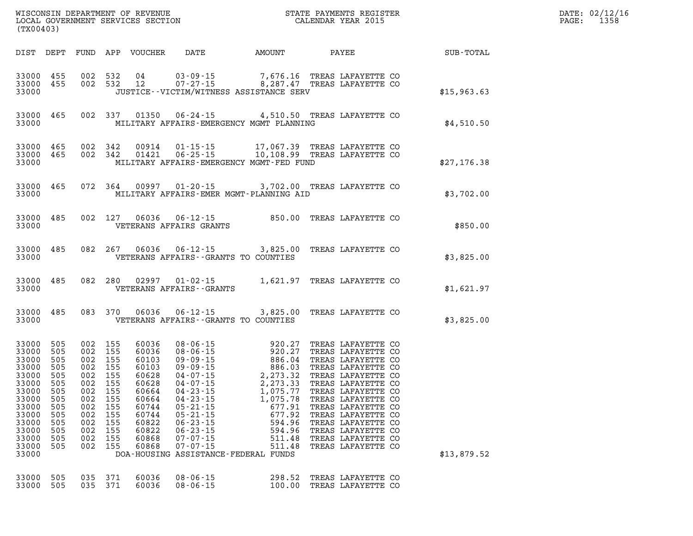|                                                                                                                                                                                     |                                                                                                                                                                                              |                                                                                                                                                                                                                                                                                                                                                                                                                                                                                                                                                                                                                                                                                                                                                                                                                                                                                                                                                                                                                                                                                                         | DATE: 02/12/16<br>PAGE: 1358                                 |
|-------------------------------------------------------------------------------------------------------------------------------------------------------------------------------------|----------------------------------------------------------------------------------------------------------------------------------------------------------------------------------------------|---------------------------------------------------------------------------------------------------------------------------------------------------------------------------------------------------------------------------------------------------------------------------------------------------------------------------------------------------------------------------------------------------------------------------------------------------------------------------------------------------------------------------------------------------------------------------------------------------------------------------------------------------------------------------------------------------------------------------------------------------------------------------------------------------------------------------------------------------------------------------------------------------------------------------------------------------------------------------------------------------------------------------------------------------------------------------------------------------------|--------------------------------------------------------------|
|                                                                                                                                                                                     |                                                                                                                                                                                              |                                                                                                                                                                                                                                                                                                                                                                                                                                                                                                                                                                                                                                                                                                                                                                                                                                                                                                                                                                                                                                                                                                         |                                                              |
|                                                                                                                                                                                     |                                                                                                                                                                                              | \$15,963.63                                                                                                                                                                                                                                                                                                                                                                                                                                                                                                                                                                                                                                                                                                                                                                                                                                                                                                                                                                                                                                                                                             |                                                              |
|                                                                                                                                                                                     |                                                                                                                                                                                              | \$4,510.50                                                                                                                                                                                                                                                                                                                                                                                                                                                                                                                                                                                                                                                                                                                                                                                                                                                                                                                                                                                                                                                                                              |                                                              |
|                                                                                                                                                                                     |                                                                                                                                                                                              | \$27,176.38                                                                                                                                                                                                                                                                                                                                                                                                                                                                                                                                                                                                                                                                                                                                                                                                                                                                                                                                                                                                                                                                                             |                                                              |
|                                                                                                                                                                                     |                                                                                                                                                                                              | \$3,702.00                                                                                                                                                                                                                                                                                                                                                                                                                                                                                                                                                                                                                                                                                                                                                                                                                                                                                                                                                                                                                                                                                              |                                                              |
|                                                                                                                                                                                     |                                                                                                                                                                                              | \$850.00                                                                                                                                                                                                                                                                                                                                                                                                                                                                                                                                                                                                                                                                                                                                                                                                                                                                                                                                                                                                                                                                                                |                                                              |
|                                                                                                                                                                                     |                                                                                                                                                                                              | \$3,825.00                                                                                                                                                                                                                                                                                                                                                                                                                                                                                                                                                                                                                                                                                                                                                                                                                                                                                                                                                                                                                                                                                              |                                                              |
|                                                                                                                                                                                     |                                                                                                                                                                                              | \$1,621.97                                                                                                                                                                                                                                                                                                                                                                                                                                                                                                                                                                                                                                                                                                                                                                                                                                                                                                                                                                                                                                                                                              |                                                              |
|                                                                                                                                                                                     |                                                                                                                                                                                              | \$3,825.00                                                                                                                                                                                                                                                                                                                                                                                                                                                                                                                                                                                                                                                                                                                                                                                                                                                                                                                                                                                                                                                                                              |                                                              |
| $05 - 21 - 15$<br>155<br>60744<br>155<br>60744<br>$05 - 21 - 15$<br>155<br>60822<br>$06 - 23 - 15$<br>60822<br>$06 - 23 - 15$<br>60868<br>$07 - 07 - 15$<br>$07 - 07 - 15$<br>60868 | 677.91<br>TREAS LAFAYETTE CO<br>677.92<br>TREAS LAFAYETTE CO<br>594.96<br>TREAS LAFAYETTE CO<br>594.96<br>TREAS LAFAYETTE CO<br>511.48<br>TREAS LAFAYETTE CO<br>511.48<br>TREAS LAFAYETTE CO | \$13,879.52                                                                                                                                                                                                                                                                                                                                                                                                                                                                                                                                                                                                                                                                                                                                                                                                                                                                                                                                                                                                                                                                                             |                                                              |
|                                                                                                                                                                                     | 002 155<br>002 155<br>002 155<br>002 155<br>002 155<br>002 155<br>002 155<br>002 155<br>155<br>155<br>002 155                                                                                | WISCONSIN DEPARTMENT OF REVENUE<br>LOCAL GOVERNMENT SERVICES SECTION TERMS OF CALENDAR YEAR 2015<br>33000 455 002 532 04 03-09-15 7,676.16 TREAS LAFAYETTE CO 33000 455 002 532 12 07-27-15 8,287.47 TREAS LAFAYETTE CO<br>JUSTICE--VICTIM/WITNESS ASSISTANCE SERV<br>33000 465 002 337 01350 06-24-15 4,510.50 TREAS LAFAYETTE CO<br>33000 MILITARY AFFAIRS-EMERGENCY MGMT PLANNING<br>33000 465 002 342 00914 01-15-15 17,067.39 TREAS LAFAYETTE CO<br>33000 465 002 342 01421 06-25-15 10,108.99 TREAS LAFAYETTE CO<br>MILITARY AFFAIRS-EMERGENCY MGMT-FED FUND<br>33000 465 072 364 00997 01-20-15 3,702.00 TREAS LAFAYETTE CO<br>33000 MILITARY AFFAIRS-EMER MGMT-PLANNING AID<br>33000 485 002 127 06036 06-12-15 850.00 TREAS LAFAYETTE CO 33000<br>33000 485 082 267 06036 06-12-15 3,825.00 TREAS LAFAYETTE CO<br>33000    VETERANS AFFAIRS--GRANTS TO COUNTIES<br>33000 485 082 280 02997 01-02-15 1,621.97 TREAS LAFAYETTE CO 33000<br>33000 485 083 370 06036 06-12-15 3,825.00 TREAS LAFAYETTE CO<br>33000    VETERANS AFFAIRS--GRANTS TO COUNTIES<br>DOA-HOUSING ASSISTANCE-FEDERAL FUNDS | DIST DEPT FUND APP VOUCHER DATE AMOUNT PAYEE TOTAL SUB-TOTAL |

|  |  | 33000 505 035 371 60036 08-06-15 |  | 298.52 TREAS LAFAYETTE CO |  |
|--|--|----------------------------------|--|---------------------------|--|
|  |  | 33000 505 035 371 60036 08-06-15 |  | 100.00 TREAS LAFAYETTE CO |  |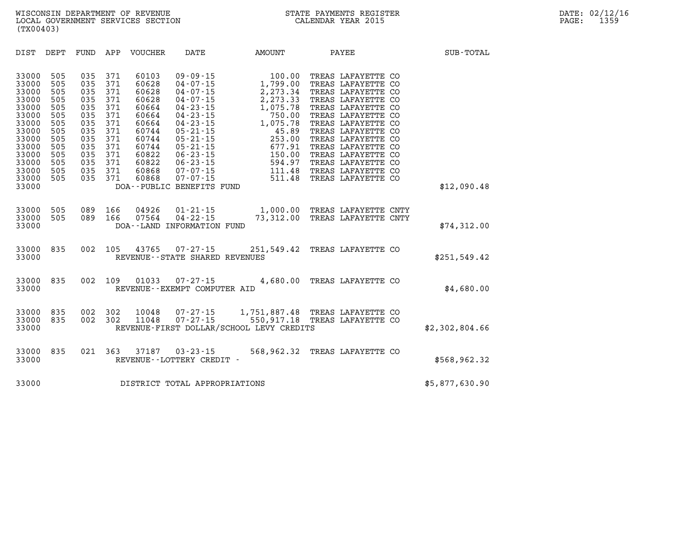| DIST<br>DEPT                                                                                                                                                                                                                          | FUND                                                                                           | APP<br>VOUCHER                                                                                                                                                                                                               | DATE                                                                                                                                                                                                                                                                                  | <b>AMOUNT</b>                                                                                                                                     | PAYEE                                                                                                                                                                                                                                                                                                            | SUB-TOTAL      |
|---------------------------------------------------------------------------------------------------------------------------------------------------------------------------------------------------------------------------------------|------------------------------------------------------------------------------------------------|------------------------------------------------------------------------------------------------------------------------------------------------------------------------------------------------------------------------------|---------------------------------------------------------------------------------------------------------------------------------------------------------------------------------------------------------------------------------------------------------------------------------------|---------------------------------------------------------------------------------------------------------------------------------------------------|------------------------------------------------------------------------------------------------------------------------------------------------------------------------------------------------------------------------------------------------------------------------------------------------------------------|----------------|
| 33000<br>505<br>33000<br>505<br>33000<br>505<br>33000<br>505<br>33000<br>505<br>33000<br>505<br>33000<br>505<br>33000<br>505<br>33000<br>505<br>33000<br>505<br>33000<br>505<br>33000<br>505<br>33000<br>505<br>33000<br>505<br>33000 | 035<br>035<br>035<br>035<br>035<br>035<br>035<br>035<br>035<br>035<br>035<br>035<br>035<br>035 | 371<br>60103<br>371<br>60628<br>371<br>60628<br>371<br>60628<br>371<br>60664<br>371<br>60664<br>371<br>60664<br>371<br>60744<br>371<br>60744<br>371<br>60744<br>371<br>60822<br>371<br>60822<br>371<br>60868<br>371<br>60868 | $09 - 09 - 15$<br>$04 - 07 - 15$<br>$04 - 07 - 15$<br>$04 - 07 - 15$<br>$04 - 23 - 15$<br>$04 - 23 - 15$<br>$04 - 23 - 15$<br>$05 - 21 - 15$<br>$05 - 21 - 15$<br>$05 - 21 - 15$<br>$06 - 23 - 15$<br>$06 - 23 - 15$<br>$07 - 07 - 15$<br>$07 - 07 - 15$<br>DOA--PUBLIC BENEFITS FUND | 100.00<br>1,799.00<br>2,273.34<br>2,273.33<br>1,075.78<br>750.00<br>1,075.78<br>45.89<br>253.00<br>677.91<br>150.00<br>594.97<br>111.48<br>511.48 | TREAS LAFAYETTE CO<br>TREAS LAFAYETTE CO<br>TREAS LAFAYETTE CO<br>TREAS LAFAYETTE CO<br>TREAS LAFAYETTE CO<br>TREAS LAFAYETTE CO<br>TREAS LAFAYETTE CO<br>TREAS LAFAYETTE CO<br>TREAS LAFAYETTE CO<br>TREAS LAFAYETTE CO<br>TREAS LAFAYETTE CO<br>TREAS LAFAYETTE CO<br>TREAS LAFAYETTE CO<br>TREAS LAFAYETTE CO | \$12,090.48    |
| 33000<br>505<br>33000<br>505<br>33000                                                                                                                                                                                                 | 089<br>089                                                                                     | 166<br>04926<br>166<br>07564                                                                                                                                                                                                 | $01 - 21 - 15$<br>$04 - 22 - 15$<br>DOA--LAND INFORMATION FUND                                                                                                                                                                                                                        | 1,000.00<br>73,312.00                                                                                                                             | TREAS LAFAYETTE CNTY<br>TREAS LAFAYETTE CNTY                                                                                                                                                                                                                                                                     | \$74,312.00    |
| 835<br>33000<br>33000                                                                                                                                                                                                                 | 002                                                                                            | 105<br>43765                                                                                                                                                                                                                 | $07 - 27 - 15$<br>REVENUE - - STATE SHARED REVENUES                                                                                                                                                                                                                                   | 251,549.42                                                                                                                                        | TREAS LAFAYETTE CO                                                                                                                                                                                                                                                                                               | \$251,549.42   |
| 835<br>33000<br>33000                                                                                                                                                                                                                 | 002                                                                                            | 109<br>01033                                                                                                                                                                                                                 | $07 - 27 - 15$<br>REVENUE - - EXEMPT COMPUTER AID                                                                                                                                                                                                                                     | 4,680.00                                                                                                                                          | TREAS LAFAYETTE CO                                                                                                                                                                                                                                                                                               | \$4,680.00     |
| 33000<br>835<br>33000<br>835<br>33000                                                                                                                                                                                                 | 002<br>002                                                                                     | 302<br>10048<br>302<br>11048                                                                                                                                                                                                 | $07 - 27 - 15$<br>$07 - 27 - 15$                                                                                                                                                                                                                                                      | 1,751,887.48<br>550,917.18<br>REVENUE-FIRST DOLLAR/SCHOOL LEVY CREDITS                                                                            | TREAS LAFAYETTE CO<br>TREAS LAFAYETTE CO                                                                                                                                                                                                                                                                         | \$2,302,804.66 |
| 33000<br>835<br>33000                                                                                                                                                                                                                 | 021                                                                                            | 363<br>37187                                                                                                                                                                                                                 | $03 - 23 - 15$<br>REVENUE - - LOTTERY CREDIT -                                                                                                                                                                                                                                        | 568,962.32                                                                                                                                        | TREAS LAFAYETTE CO                                                                                                                                                                                                                                                                                               | \$568,962.32   |
| 33000                                                                                                                                                                                                                                 |                                                                                                |                                                                                                                                                                                                                              | DISTRICT TOTAL APPROPRIATIONS                                                                                                                                                                                                                                                         |                                                                                                                                                   |                                                                                                                                                                                                                                                                                                                  | \$5,877,630.90 |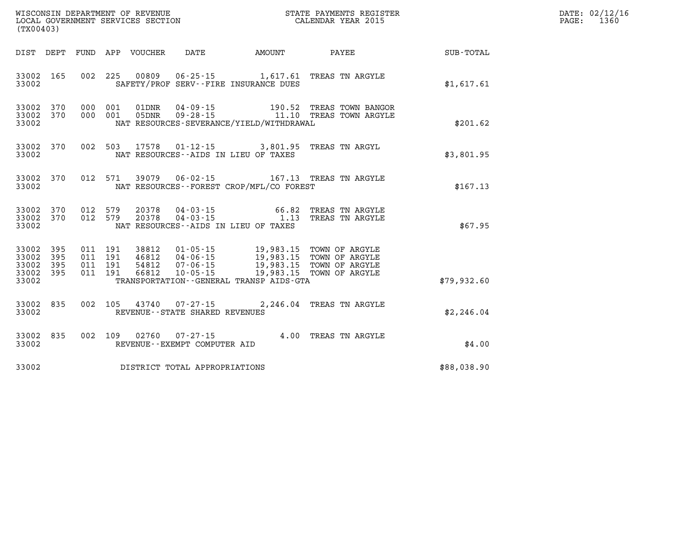|                                           | WISCONSIN DEPARTMENT OF REVENUE<br>LOCAL GOVERNMENT SERVICES SECTION<br>(TX00403) |         |                                          |                            |                                   | STATE PAYMENTS REGISTER<br>CALENDAR YEAR 2015                                                                                                                                                                 |                                                                                                 |             | DATE: 02/12/16<br>PAGE:<br>1360 |
|-------------------------------------------|-----------------------------------------------------------------------------------|---------|------------------------------------------|----------------------------|-----------------------------------|---------------------------------------------------------------------------------------------------------------------------------------------------------------------------------------------------------------|-------------------------------------------------------------------------------------------------|-------------|---------------------------------|
|                                           |                                                                                   |         |                                          | DIST DEPT FUND APP VOUCHER | DATE                              |                                                                                                                                                                                                               | AMOUNT PAYEE                                                                                    | SUB-TOTAL   |                                 |
| 33002                                     | 33002 165                                                                         |         |                                          | 002 225 00809              |                                   | SAFETY/PROF SERV--FIRE INSURANCE DUES                                                                                                                                                                         | 06-25-15 1,617.61 TREAS TN ARGYLE                                                               | \$1,617.61  |                                 |
| 33002                                     | 33002 370<br>33002 370                                                            |         | 000 001<br>000 001                       | 01DNR<br>05DNR             |                                   | NAT RESOURCES-SEVERANCE/YIELD/WITHDRAWAL                                                                                                                                                                      |                                                                                                 | \$201.62    |                                 |
| 33002                                     | 33002 370                                                                         |         |                                          |                            |                                   | 002 503 17578 01-12-15 3,801.95 TREAS TN ARGYL<br>NAT RESOURCES--AIDS IN LIEU OF TAXES                                                                                                                        |                                                                                                 | \$3,801.95  |                                 |
| 33002                                     | 33002 370                                                                         |         |                                          |                            |                                   | NAT RESOURCES--FOREST CROP/MFL/CO FOREST                                                                                                                                                                      | 012 571 39079 06-02-15 167.13 TREAS TN ARGYLE                                                   | \$167.13    |                                 |
| 33002                                     | 33002 370<br>33002 370                                                            | 012 579 | 012 579                                  |                            |                                   | NAT RESOURCES--AIDS IN LIEU OF TAXES                                                                                                                                                                          | $20378$ $04 - 03 - 15$ $66.82$ TREAS TN ARGYLE<br>$20378$ $04 - 03 - 15$ $1.13$ TREAS TN ARGYLE | \$67.95     |                                 |
| 33002<br>33002<br>33002<br>33002<br>33002 | 395<br>395<br>395<br>395                                                          |         | 011 191<br>011 191<br>011 191<br>011 191 | 38812                      | 46812 04-06-15                    | 01-05-15 19,983.15 TOWN OF ARGYLE<br>04-06-15 19,983.15 TOWN OF ARGYLE<br>54812  07-06-15  19,983.15  TOWN OF ARGYLE<br>66812  10-05-15  19,983.15  TOWN OF ARGYLE<br>TRANSPORTATION--GENERAL TRANSP AIDS-GTA |                                                                                                 | \$79.932.60 |                                 |
| 33002                                     | 33002 835                                                                         |         |                                          |                            | REVENUE - - STATE SHARED REVENUES |                                                                                                                                                                                                               | 002 105 43740 07-27-15 2,246.04 TREAS TN ARGYLE                                                 | \$2,246.04  |                                 |
| 33002                                     | 33002 835                                                                         |         |                                          |                            | REVENUE--EXEMPT COMPUTER AID      |                                                                                                                                                                                                               | 002 109 02760 07-27-15 4.00 TREAS TN ARGYLE                                                     | \$4.00      |                                 |
| 33002                                     |                                                                                   |         |                                          |                            | DISTRICT TOTAL APPROPRIATIONS     |                                                                                                                                                                                                               |                                                                                                 | \$88,038.90 |                                 |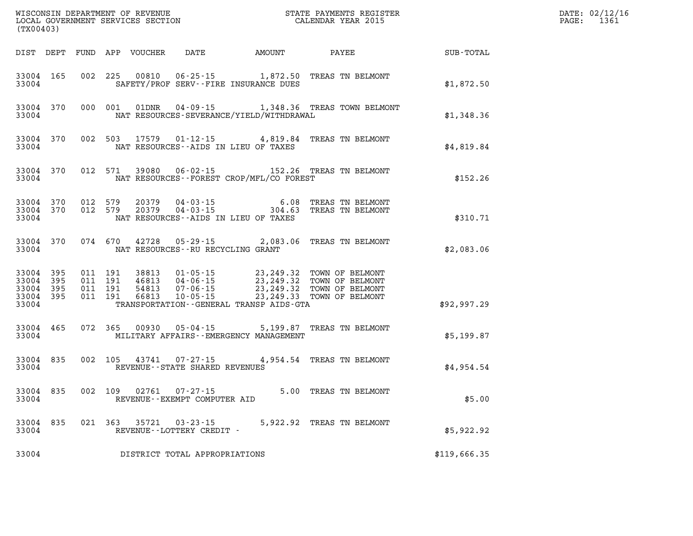| WISCONSIN DEPARTMENT OF REVENUE<br>LOCAL GOVERNMENT SERVICES SECTION<br>(TX00403) |           |                                          |         |                                  |                                                        |                                              | STATE PAYMENTS REGISTER<br>CALENDAR YEAR 2015                                                                               |                  | DATE: 02/12/16<br>PAGE: 1361 |
|-----------------------------------------------------------------------------------|-----------|------------------------------------------|---------|----------------------------------|--------------------------------------------------------|----------------------------------------------|-----------------------------------------------------------------------------------------------------------------------------|------------------|------------------------------|
|                                                                                   |           |                                          |         |                                  |                                                        | DIST DEPT FUND APP VOUCHER DATE AMOUNT PAYEE |                                                                                                                             | <b>SUB-TOTAL</b> |                              |
| 33004 165<br>33004                                                                |           |                                          |         |                                  |                                                        | SAFETY/PROF SERV--FIRE INSURANCE DUES        | 002 225 00810 06-25-15 1,872.50 TREAS TN BELMONT                                                                            | \$1,872.50       |                              |
| 33004 370<br>33004                                                                |           |                                          |         |                                  |                                                        | NAT RESOURCES-SEVERANCE/YIELD/WITHDRAWAL     | 000 001 01DNR 04-09-15 1,348.36 TREAS TOWN BELMONT                                                                          | \$1,348.36       |                              |
| 33004 370<br>33004                                                                |           |                                          |         |                                  |                                                        | NAT RESOURCES -- AIDS IN LIEU OF TAXES       | 002 503 17579 01-12-15 4,819.84 TREAS TN BELMONT                                                                            | \$4,819.84       |                              |
| 33004                                                                             | 33004 370 |                                          |         | 012 571 39080                    |                                                        | NAT RESOURCES--FOREST CROP/MFL/CO FOREST     | 06-02-15 152.26 TREAS TN BELMONT                                                                                            | \$152.26         |                              |
| 33004 370<br>33004 370<br>33004                                                   |           | 012 579<br>012 579                       |         | 20379<br>20379                   |                                                        | NAT RESOURCES -- AIDS IN LIEU OF TAXES       | 04-03-15 6.08 TREAS TN BELMONT<br>04-03-15 304.63 TREAS TN BELMONT                                                          | \$310.71         |                              |
| 33004 370<br>33004                                                                |           |                                          | 074 670 |                                  | NAT RESOURCES--RU RECYCLING GRANT                      |                                              | 42728  05-29-15  2,083.06  TREAS TN BELMONT                                                                                 | \$2,083.06       |                              |
| 33004 395<br>33004<br>33004 395<br>33004 395<br>33004                             | 395       | 011 191<br>011 191<br>011 191<br>011 191 |         | 38813<br>46813<br>54813<br>66813 |                                                        | TRANSPORTATION - - GENERAL TRANSP AIDS - GTA | 01-05-15 23, 249.32 TOWN OF BELMONT<br>04-06-15<br>07-06-15 23,249.32 TOWN OF BELMONT<br>10-05-15 23,249.33 TOWN OF BELMONT | \$92,997.29      |                              |
| 33004                                                                             | 33004 465 |                                          |         |                                  |                                                        | MILITARY AFFAIRS - - EMERGENCY MANAGEMENT    | 072 365 00930 05-04-15 5,199.87 TREAS TN BELMONT                                                                            | \$5,199.87       |                              |
| 33004 835<br>33004                                                                |           |                                          |         | 002 105 43741                    | $07 - 27 - 15$<br>REVENUE--STATE SHARED REVENUES       |                                              | 4,954.54 TREAS TN BELMONT                                                                                                   | \$4,954.54       |                              |
| 33004 835<br>33004                                                                |           |                                          |         |                                  | 002 109 02761 07-27-15<br>REVENUE--EXEMPT COMPUTER AID |                                              | 5.00 TREAS TN BELMONT                                                                                                       | \$5.00           |                              |
| 33004 835<br>33004                                                                |           |                                          |         | 021 363 35721                    | $03 - 23 - 15$<br>REVENUE--LOTTERY CREDIT -            |                                              | 5,922.92 TREAS TN BELMONT                                                                                                   | \$5,922.92       |                              |
| 33004                                                                             |           |                                          |         |                                  | DISTRICT TOTAL APPROPRIATIONS                          |                                              |                                                                                                                             | \$119,666.35     |                              |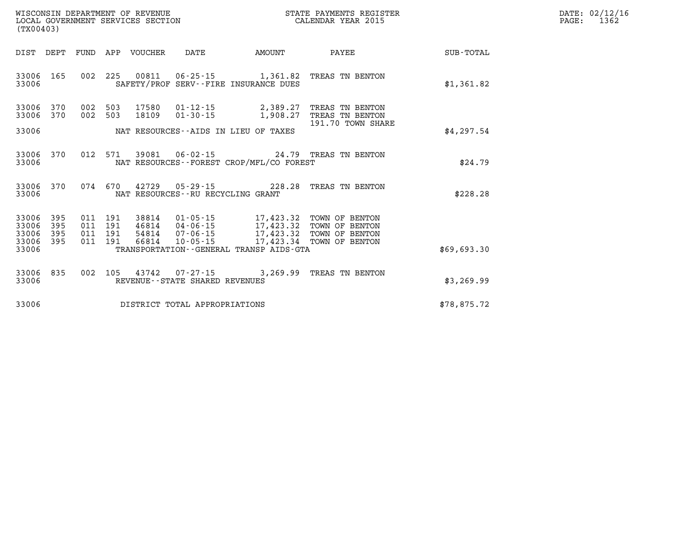| WISCONSIN DEPARTMENT OF REVENUE      | PAYMENTS REGISTER<br>3TATE | 02/12/16<br>DATE: |
|--------------------------------------|----------------------------|-------------------|
| GOVERNMENT SERVICES SECTION<br>LOCAL | CALENDAR YEAR 2015         | 1362<br>PAGE      |

| LOCAL GOVERNMENT SERVICES SECTION<br>(TX00403)        |                                                                                          | CALENDAR YEAR 2015                                                     |             | PAGE: | 1362 |
|-------------------------------------------------------|------------------------------------------------------------------------------------------|------------------------------------------------------------------------|-------------|-------|------|
| DIST DEPT FUND APP VOUCHER                            |                                                                                          | DATE AMOUNT PAYEE SUB-TOTAL                                            |             |       |      |
| 33006 165<br>33006                                    | 002 225 00811 06-25-15 1,361.82 TREAS TN BENTON<br>SAFETY/PROF SERV--FIRE INSURANCE DUES |                                                                        | \$1,361.82  |       |      |
| 002 503<br>33006<br>370<br>002<br>33006 370           | 17580<br>$01 - 12 - 15$ 2,389.27<br>503<br>18109                                         | TREAS TN BENTON<br>01-30-15 1,908.27 TREAS TN BENTON                   |             |       |      |
| 33006                                                 | NAT RESOURCES--AIDS IN LIEU OF TAXES                                                     | 191.70 TOWN SHARE                                                      | \$4,297.54  |       |      |
| 33006 370<br>33006                                    | 012 571 39081<br>NAT RESOURCES - - FOREST CROP/MFL/CO FOREST                             | 06-02-15 24.79 TREAS TN BENTON                                         | \$24.79     |       |      |
| 33006 370<br>33006                                    | 074 670 42729 05-29-15 228.28 TREAS TN BENTON<br>NAT RESOURCES--RU RECYCLING GRANT       |                                                                        | \$228.28    |       |      |
| 33006 395<br>011 191<br>33006<br>395<br>011 191       | 38814<br>46814                                                                           | 01-05-15 17,423.32 TOWN OF BENTON<br>04-06-15 17,423.32 TOWN OF BENTON |             |       |      |
| 33006 395<br>011 191<br>33006 395<br>011 191<br>33006 | 54814<br>66814<br>10-05-15<br>TRANSPORTATION--GENERAL TRANSP AIDS-GTA                    | 07-06-15 17,423.32 TOWN OF BENTON<br>17,423.34 TOWN OF BENTON          | \$69,693.30 |       |      |
| 33006 835<br>33006                                    | 002 105 43742 07-27-15 3,269.99 TREAS TN BENTON<br>REVENUE--STATE SHARED REVENUES        |                                                                        | \$3,269.99  |       |      |
| 33006                                                 | DISTRICT TOTAL APPROPRIATIONS                                                            |                                                                        | \$78,875.72 |       |      |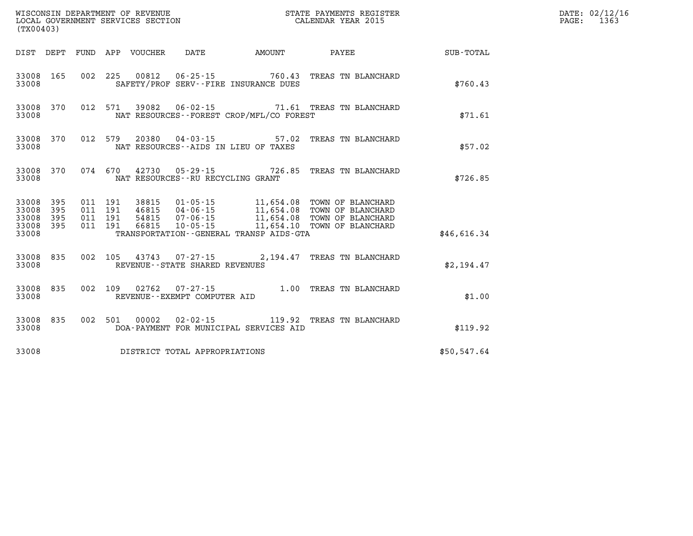| WISCONSIN DEPARTMENT OF REVENUE<br>LOCAL GOVERNMENT SERVICES SECTION<br>LOCAL GOVERNMENT SERVICES SECTION<br>CALENDAR YEAR 2015<br>(TX00403) |                         |                    |                    |                         |                                       |                                          |                                                                                                                                                                       |             | DATE: 02/12/16<br>PAGE: 1363 |
|----------------------------------------------------------------------------------------------------------------------------------------------|-------------------------|--------------------|--------------------|-------------------------|---------------------------------------|------------------------------------------|-----------------------------------------------------------------------------------------------------------------------------------------------------------------------|-------------|------------------------------|
|                                                                                                                                              |                         |                    |                    |                         |                                       |                                          | DIST DEPT FUND APP VOUCHER DATE AMOUNT PAYEE SUB-TOTAL                                                                                                                |             |                              |
| 33008                                                                                                                                        |                         |                    |                    |                         | SAFETY/PROF SERV--FIRE INSURANCE DUES |                                          | 33008 165 002 225 00812 06-25-15 760.43 TREAS TN BLANCHARD                                                                                                            | \$760.43    |                              |
| 33008                                                                                                                                        |                         |                    |                    |                         |                                       | NAT RESOURCES--FOREST CROP/MFL/CO FOREST | 33008 370 012 571 39082 06-02-15 71.61 TREAS TN BLANCHARD                                                                                                             | \$71.61     |                              |
| 33008                                                                                                                                        |                         |                    |                    |                         | NAT RESOURCES--AIDS IN LIEU OF TAXES  |                                          | 33008 370 012 579 20380 04-03-15 57.02 TREAS TN BLANCHARD                                                                                                             | \$57.02     |                              |
| 33008                                                                                                                                        |                         |                    |                    |                         | NAT RESOURCES - - RU RECYCLING GRANT  |                                          | 33008 370 074 670 42730 05-29-15 726.85 TREAS TN BLANCHARD                                                                                                            | \$726.85    |                              |
| 33008 395<br>33008<br>33008<br>33008                                                                                                         | 395<br>395<br>33008 395 | 011 191<br>011 191 | 011 191<br>011 191 | 46815<br>54815<br>66815 |                                       | TRANSPORTATION--GENERAL TRANSP AIDS-GTA  | 38815  01-05-15  11,654.08  TOWN OF BLANCHARD<br>04-06-15 11,654.08 TOWN OF BLANCHARD<br>07-06-15 11,654.08 TOWN OF BLANCHARD<br>10-05-15 11,654.10 TOWN OF BLANCHARD | \$46,616.34 |                              |
| 33008                                                                                                                                        | 33008 835               |                    |                    |                         | REVENUE--STATE SHARED REVENUES        |                                          | 002 105 43743 07-27-15 2,194.47 TREAS TN BLANCHARD                                                                                                                    | \$2,194.47  |                              |
| 33008                                                                                                                                        |                         |                    |                    |                         | REVENUE--EXEMPT COMPUTER AID          |                                          | 33008 835 002 109 02762 07-27-15 1.00 TREAS TN BLANCHARD                                                                                                              | \$1.00      |                              |
| 33008                                                                                                                                        | 33008 835               |                    |                    |                         |                                       | DOA-PAYMENT FOR MUNICIPAL SERVICES AID   | 002 501 00002 02-02-15 119.92 TREAS TN BLANCHARD                                                                                                                      | \$119.92    |                              |
| 33008                                                                                                                                        |                         |                    |                    |                         | DISTRICT TOTAL APPROPRIATIONS         |                                          |                                                                                                                                                                       | \$50,547.64 |                              |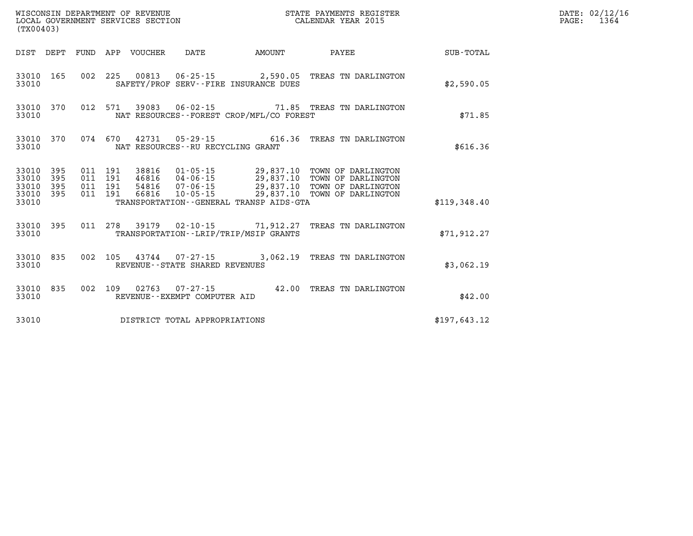| (TX00403)                                     |                   |  |                                   |                                              |                                                                                                                                                                                                                          |              | DATE: 02/12/16<br>$\mathtt{PAGE:}$<br>1364 |
|-----------------------------------------------|-------------------|--|-----------------------------------|----------------------------------------------|--------------------------------------------------------------------------------------------------------------------------------------------------------------------------------------------------------------------------|--------------|--------------------------------------------|
|                                               | DIST DEPT         |  |                                   |                                              |                                                                                                                                                                                                                          |              |                                            |
| 33010                                         | 33010 165         |  |                                   | SAFETY/PROF SERV--FIRE INSURANCE DUES        | 002 225 00813 06-25-15 2,590.05 TREAS TN DARLINGTON                                                                                                                                                                      | \$2,590.05   |                                            |
| 33010                                         | 33010 370         |  |                                   | NAT RESOURCES--FOREST CROP/MFL/CO FOREST     | 012 571 39083 06-02-15 71.85 TREAS TN DARLINGTON                                                                                                                                                                         | \$71.85      |                                            |
| 33010                                         |                   |  | NAT RESOURCES--RU RECYCLING GRANT |                                              | 33010 370 074 670 42731 05-29-15 616.36 TREAS TN DARLINGTON                                                                                                                                                              | \$616.36     |                                            |
| 33010<br>33010<br>33010<br>33010 395<br>33010 | 395<br>395<br>395 |  |                                   | TRANSPORTATION - - GENERAL TRANSP AIDS - GTA | 011 191 38816 01-05-15 29,837.10 TOWN OF DARLINGTON<br>011 191 46816 04-06-15 29,837.10 TOWN OF DARLINGTON<br>011 191 54816 07-06-15 29,837.10 TOWN OF DARLINGTON<br>011 191 66816 10-05-15 29,837.10 TOWN OF DARLINGTON | \$119,348.40 |                                            |
| 33010                                         | 33010 395         |  |                                   | TRANSPORTATION--LRIP/TRIP/MSIP GRANTS        | 011  278  39179  02-10-15  71,912.27  TREAS TN DARLINGTON                                                                                                                                                                | \$71,912.27  |                                            |
| 33010                                         | 33010 835         |  | REVENUE--STATE SHARED REVENUES    |                                              | 002 105 43744 07-27-15 3,062.19 TREAS TN DARLINGTON                                                                                                                                                                      | \$3,062.19   |                                            |
| 33010<br>33010                                | 835               |  | REVENUE--EXEMPT COMPUTER AID      |                                              | 002 109 02763 07-27-15 42.00 TREAS TN DARLINGTON                                                                                                                                                                         | \$42.00      |                                            |
| 33010                                         |                   |  | DISTRICT TOTAL APPROPRIATIONS     |                                              |                                                                                                                                                                                                                          | \$197,643.12 |                                            |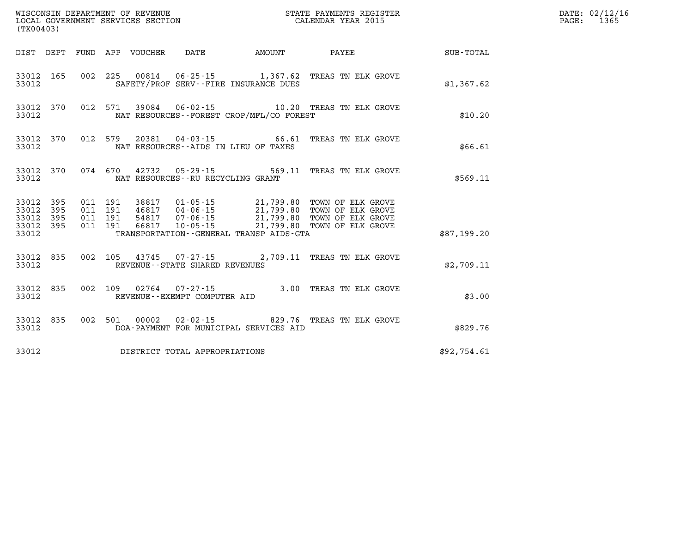| (TX00403)                                                    | WISCONSIN DEPARTMENT OF REVENUE<br>LOCAL GOVERNMENT SERVICES SECTION<br>CALENDAR YEAR 2015                                                                                                                                                                                                                                                                                                    |             | DATE: 02/12/16<br>PAGE: 1365 |
|--------------------------------------------------------------|-----------------------------------------------------------------------------------------------------------------------------------------------------------------------------------------------------------------------------------------------------------------------------------------------------------------------------------------------------------------------------------------------|-------------|------------------------------|
|                                                              | DIST DEPT FUND APP VOUCHER DATE AMOUNT PAYEE TOTAL                                                                                                                                                                                                                                                                                                                                            |             |                              |
| 33012                                                        | 33012 165 002 225 00814 06-25-15 1,367.62 TREAS TN ELK GROVE<br>SAFETY/PROF SERV--FIRE INSURANCE DUES                                                                                                                                                                                                                                                                                         | \$1,367.62  |                              |
| 33012 370<br>33012                                           | 012 571 39084 06-02-15 10.20 TREAS TN ELK GROVE<br>NAT RESOURCES--FOREST CROP/MFL/CO FOREST                                                                                                                                                                                                                                                                                                   | \$10.20     |                              |
| 33012                                                        | 33012 370 012 579 20381 04-03-15 66.61 TREAS TN ELK GROVE<br>NAT RESOURCES--AIDS IN LIEU OF TAXES                                                                                                                                                                                                                                                                                             | \$66.61     |                              |
| 33012                                                        | 33012 370 074 670 42732 05-29-15 569.11 TREAS TN ELK GROVE<br>NAT RESOURCES--RU RECYCLING GRANT                                                                                                                                                                                                                                                                                               | \$569.11    |                              |
| 33012 395<br>33012<br>395<br>33012 395<br>33012 395<br>33012 | $\begin{array}{cccc} 011 & 191 & 38817 & 01\cdot 05\cdot 15 & 21\text{,}799\text{,}80 & \text{TOWN OF ELK GROVE} \\ 011 & 191 & 46817 & 04\cdot 06\cdot 15 & 21\text{,}799\text{,}80 & \text{TOWN OF ELK GROVE} \\ 011 & 191 & 54817 & 07\cdot 06\cdot 15 & 21\text{,}799\text{,}80 & \text{TOWN OF ELK GROVE} \\ 011 & 191 & 66817 & 10\cdot 05\$<br>TRANSPORTATION--GENERAL TRANSP AIDS-GTA | \$87,199.20 |                              |
| 33012 835<br>33012                                           | 002 105 43745 07-27-15 2,709.11 TREAS TN ELK GROVE<br>REVENUE - - STATE SHARED REVENUES                                                                                                                                                                                                                                                                                                       | \$2,709.11  |                              |
| 33012                                                        | 33012 835 002 109 02764 07-27-15 3.00 TREAS TN ELK GROVE<br>REVENUE--EXEMPT COMPUTER AID                                                                                                                                                                                                                                                                                                      | \$3.00      |                              |
| 33012                                                        | 33012 835 002 501 00002 02-02-15 829.76 TREAS TN ELK GROVE<br>DOA-PAYMENT FOR MUNICIPAL SERVICES AID                                                                                                                                                                                                                                                                                          | \$829.76    |                              |
| 33012                                                        | DISTRICT TOTAL APPROPRIATIONS                                                                                                                                                                                                                                                                                                                                                                 | \$92,754.61 |                              |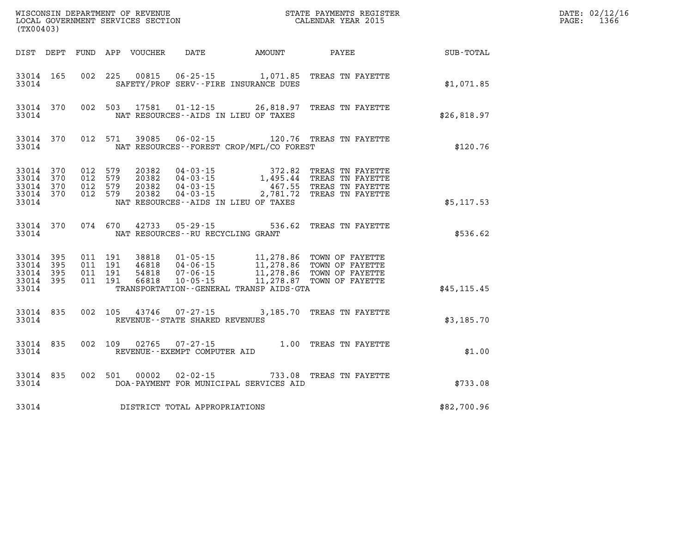| (TX00403)                                                 |                               |         |                                         |                                              | WISCONSIN DEPARTMENT OF REVENUE<br>LOCAL GOVERNMENT SERVICES SECTION FOR THE STATE PAYMENTS REGISTER<br>CALENDAR YEAR 2015                                                                                                                                                                                                                         |              | DATE: 02/12/16<br>PAGE: 1366 |
|-----------------------------------------------------------|-------------------------------|---------|-----------------------------------------|----------------------------------------------|----------------------------------------------------------------------------------------------------------------------------------------------------------------------------------------------------------------------------------------------------------------------------------------------------------------------------------------------------|--------------|------------------------------|
|                                                           |                               |         |                                         | DIST DEPT FUND APP VOUCHER DATE AMOUNT PAYEE |                                                                                                                                                                                                                                                                                                                                                    | SUB-TOTAL    |                              |
| 33014                                                     |                               |         |                                         | SAFETY/PROF SERV--FIRE INSURANCE DUES        | 33014 165 002 225 00815 06-25-15 1,071.85 TREAS TN FAYETTE                                                                                                                                                                                                                                                                                         | \$1,071.85   |                              |
| 33014                                                     |                               |         |                                         | NAT RESOURCES--AIDS IN LIEU OF TAXES         | 33014 370 002 503 17581 01-12-15 26,818.97 TREAS TN FAYETTE                                                                                                                                                                                                                                                                                        | \$26,818.97  |                              |
| 33014                                                     |                               |         |                                         | NAT RESOURCES--FOREST CROP/MFL/CO FOREST     | 33014 370 012 571 39085 06-02-15 120.76 TREAS TN FAYETTE                                                                                                                                                                                                                                                                                           | \$120.76     |                              |
| 33014                                                     |                               |         |                                         | NAT RESOURCES--AIDS IN LIEU OF TAXES         | $\begin{array}{cccccc} 33014 & 370 & 012 & 579 & 20382 & 04\,\texttt{-}03\,\texttt{-}15 & & 372.82 & \texttt{TREAS TN FAYETTE} \\ 33014 & 370 & 012 & 579 & 20382 & 04\,\texttt{-}03\,\texttt{-}15 & & 1,495.44 & \texttt{TREAS TN FAYETTE} \\ 33014 & 370 & 012 & 579 & 20382 & 04\,\texttt{-}03\,\texttt{-}15 & & 467.55 & \texttt{TREAS TN FAY$ | \$5,117.53   |                              |
|                                                           |                               |         | 33014 NAT RESOURCES--RU RECYCLING GRANT |                                              | 33014 370 074 670 42733 05-29-15 536.62 TREAS TN FAYETTE                                                                                                                                                                                                                                                                                           | \$536.62     |                              |
| 33014 395<br>33014 395<br>33014 395<br>33014 395<br>33014 | 011 191<br>011 191<br>011 191 | 011 191 |                                         | TRANSPORTATION - - GENERAL TRANSP AIDS - GTA | 38818  01-05-15  11,278.86  TOWN OF FAYETTE<br>46818  04-06-15  11,278.86  TOWN OF FAYETTE<br>54818  07-06-15  11,278.86  TOWN OF FAYETTE<br>66818  10-05-15  11,278.87  TOWN OF FAYETTE                                                                                                                                                           | \$45, 115.45 |                              |
| 33014                                                     |                               |         | REVENUE--STATE SHARED REVENUES          |                                              | 33014 835 002 105 43746 07-27-15 3,185.70 TREAS TN FAYETTE                                                                                                                                                                                                                                                                                         | \$3,185.70   |                              |
|                                                           |                               |         | 33014 REVENUE - EXEMPT COMPUTER AID     |                                              | 33014 835 002 109 02765 07-27-15 1.00 TREAS TN FAYETTE                                                                                                                                                                                                                                                                                             | \$1.00       |                              |
| 33014                                                     |                               |         |                                         | DOA-PAYMENT FOR MUNICIPAL SERVICES AID       | 33014 835 002 501 00002 02-02-15 733.08 TREAS TN FAYETTE                                                                                                                                                                                                                                                                                           | \$733.08     |                              |
| 33014                                                     |                               |         | DISTRICT TOTAL APPROPRIATIONS           |                                              |                                                                                                                                                                                                                                                                                                                                                    | \$82,700.96  |                              |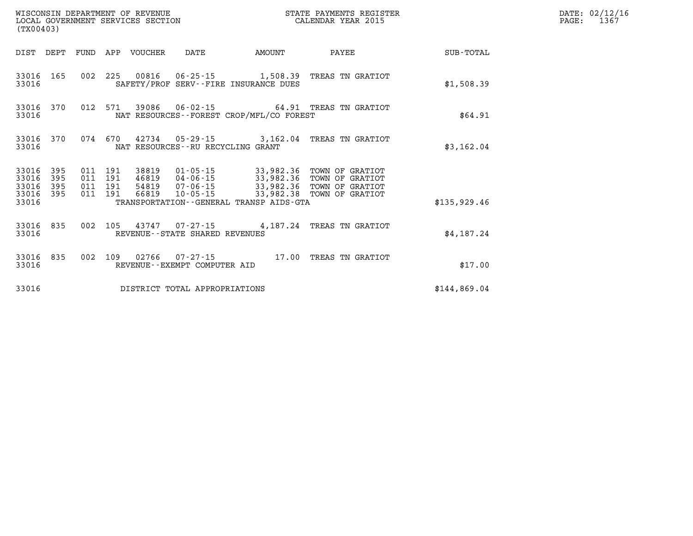| (TX00403)                   |            |                               | WISCONSIN DEPARTMENT OF REVENUE | LOCAL GOVERNMENT SERVICES SECTION |                                             | STATE PAYMENTS REGISTER<br>CALENDAR YEAR 2015                                                                                             |              | DATE: 02/12/16<br>PAGE:<br>1367 |
|-----------------------------|------------|-------------------------------|---------------------------------|-----------------------------------|---------------------------------------------|-------------------------------------------------------------------------------------------------------------------------------------------|--------------|---------------------------------|
|                             |            |                               | DIST DEPT FUND APP VOUCHER      | DATE                              | AMOUNT                                      | PAYEE                                                                                                                                     | SUB-TOTAL    |                                 |
| 33016                       | 33016 165  |                               |                                 |                                   | SAFETY/PROF SERV--FIRE INSURANCE DUES       | 002 225 00816 06-25-15 1,508.39 TREAS TN GRATIOT                                                                                          | \$1,508.39   |                                 |
| 33016                       | 33016 370  |                               |                                 |                                   | NAT RESOURCES - - FOREST CROP/MFL/CO FOREST | 012 571 39086 06-02-15 64.91 TREAS TN GRATIOT                                                                                             | \$64.91      |                                 |
| 33016                       | 33016 370  |                               |                                 | NAT RESOURCES--RU RECYCLING GRANT |                                             | 074 670 42734 05-29-15 3,162.04 TREAS TN GRATIOT                                                                                          | \$3,162.04   |                                 |
| 33016 395<br>33016<br>33016 | 395<br>395 | 011 191<br>011 191<br>011 191 |                                 |                                   |                                             | 38819  01-05-15  33,982.36  TOWN OF GRATIOT<br>46819  04-06-15  33,982.36  TOWN OF GRATIOT<br>54819  07-06-15  33,982.36  TOWN OF GRATIOT |              |                                 |
| 33016 395<br>33016          |            | 011 191                       |                                 |                                   | TRANSPORTATION--GENERAL TRANSP AIDS-GTA     | 66819  10-05-15  33,982.38  TOWN OF GRATIOT                                                                                               | \$135.929.46 |                                 |
| 33016                       | 33016 835  |                               |                                 | REVENUE - - STATE SHARED REVENUES |                                             | 002 105 43747 07-27-15 4,187.24 TREAS TN GRATIOT                                                                                          | \$4,187.24   |                                 |
| 33016                       | 33016 835  |                               |                                 | REVENUE--EXEMPT COMPUTER AID      |                                             | 002 109 02766 07-27-15 17.00 TREAS TN GRATIOT                                                                                             | \$17.00      |                                 |
| 33016                       |            |                               |                                 | DISTRICT TOTAL APPROPRIATIONS     |                                             |                                                                                                                                           | \$144,869.04 |                                 |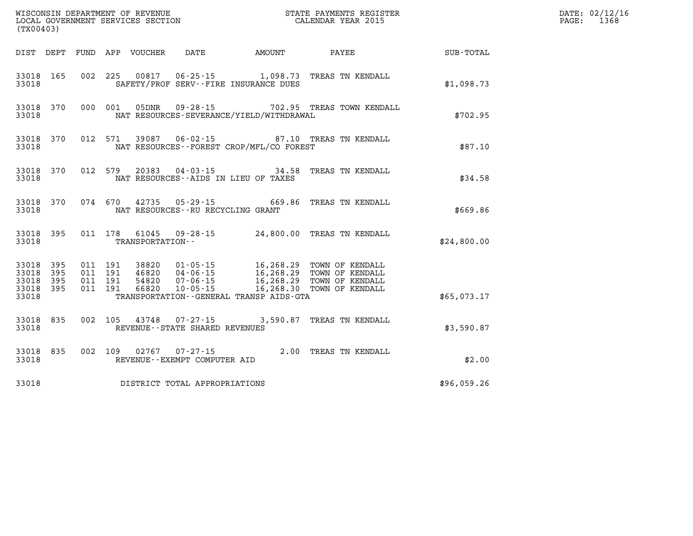| (TX00403)                                     |                   |                                          |         | WISCONSIN DEPARTMENT OF REVENUE<br>LOCAL GOVERNMENT SERVICES SECTION |                                          |                                             | STATE PAYMENTS REGISTER<br>CALENDAR YEAR 2015     |             | DATE: 02/12/16<br>PAGE:<br>1368 |
|-----------------------------------------------|-------------------|------------------------------------------|---------|----------------------------------------------------------------------|------------------------------------------|---------------------------------------------|---------------------------------------------------|-------------|---------------------------------|
|                                               |                   |                                          |         | DIST DEPT FUND APP VOUCHER                                           | DATE                                     | AMOUNT                                      | PAYEE                                             | SUB-TOTAL   |                                 |
| 33018 165<br>33018                            |                   |                                          |         |                                                                      |                                          | SAFETY/PROF SERV--FIRE INSURANCE DUES       | 002 225 00817 06-25-15 1,098.73 TREAS TN KENDALL  | \$1,098.73  |                                 |
| 33018                                         | 33018 370         | 000 001                                  |         | 05DNR                                                                |                                          | NAT RESOURCES-SEVERANCE/YIELD/WITHDRAWAL    | 09-28-15 702.95 TREAS TOWN KENDALL                | \$702.95    |                                 |
| 33018                                         | 33018 370         |                                          | 012 571 | 39087                                                                | $06 - 02 - 15$                           | NAT RESOURCES - - FOREST CROP/MFL/CO FOREST | 87.10 TREAS TN KENDALL                            | \$87.10     |                                 |
| 33018                                         | 33018 370         |                                          | 012 579 | 20383                                                                | $04 - 03 - 15$                           | NAT RESOURCES--AIDS IN LIEU OF TAXES        | 34.58 TREAS TN KENDALL                            | \$34.58     |                                 |
| 33018                                         | 33018 370         |                                          |         |                                                                      | NAT RESOURCES -- RU RECYCLING GRANT      |                                             | 074 670 42735 05-29-15 669.86 TREAS TN KENDALL    | \$669.86    |                                 |
| 33018 395<br>33018                            |                   |                                          |         | TRANSPORTATION--                                                     |                                          |                                             | 011 178 61045 09-28-15 24,800.00 TREAS TN KENDALL | \$24,800.00 |                                 |
| 33018<br>33018<br>33018<br>33018 395<br>33018 | 395<br>395<br>395 | 011 191<br>011 191<br>011 191<br>011 191 |         | 38820<br>46820<br>54820<br>66820                                     | $10 - 05 - 15$                           | TRANSPORTATION--GENERAL TRANSP AIDS-GTA     | 16,268.30 TOWN OF KENDALL                         | \$65,073.17 |                                 |
| 33018 835<br>33018                            |                   | 002 105                                  |         |                                                                      | REVENUE--STATE SHARED REVENUES           |                                             | 43748 07-27-15 3,590.87 TREAS TN KENDALL          | \$3,590.87  |                                 |
| 33018 835<br>33018                            |                   |                                          | 002 109 | 02767                                                                | 07-27-15<br>REVENUE--EXEMPT COMPUTER AID |                                             | 2.00 TREAS TN KENDALL                             | \$2.00      |                                 |
| 33018                                         |                   |                                          |         |                                                                      | DISTRICT TOTAL APPROPRIATIONS            |                                             |                                                   | \$96,059.26 |                                 |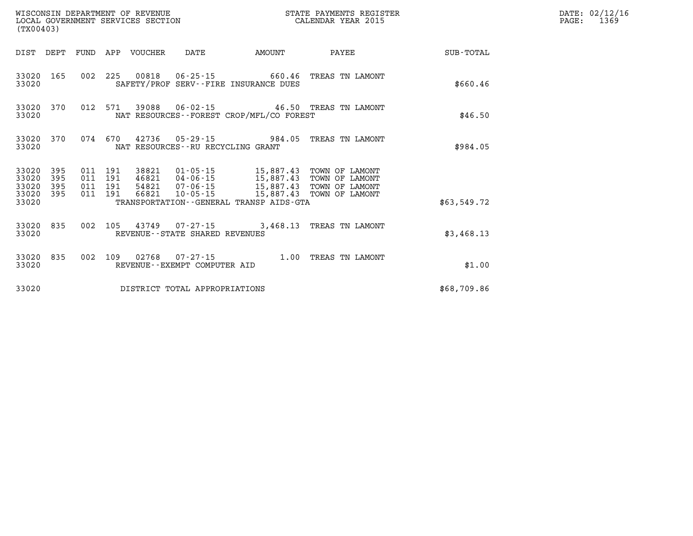| (TX00403)                                |            |                                          | WISCONSIN DEPARTMENT OF REVENUE | LOCAL GOVERNMENT SERVICES SECTION |                                              | STATE PAYMENTS REGISTER<br>CALENDAR YEAR 2015                                                                                                                                 |             | DATE: 02/12/16<br>$\mathtt{PAGE:}$<br>1369 |
|------------------------------------------|------------|------------------------------------------|---------------------------------|-----------------------------------|----------------------------------------------|-------------------------------------------------------------------------------------------------------------------------------------------------------------------------------|-------------|--------------------------------------------|
|                                          |            |                                          | DIST DEPT FUND APP VOUCHER      | DATE                              | AMOUNT                                       | PAYEE                                                                                                                                                                         | SUB-TOTAL   |                                            |
| 33020                                    | 33020 165  |                                          |                                 |                                   | SAFETY/PROF SERV--FIRE INSURANCE DUES        | 002 225 00818 06-25-15 660.46 TREAS TN LAMONT                                                                                                                                 | \$660.46    |                                            |
| 33020                                    | 33020 370  |                                          |                                 |                                   | NAT RESOURCES--FOREST CROP/MFL/CO FOREST     | 012 571 39088 06-02-15 46.50 TREAS TN LAMONT                                                                                                                                  | \$46.50     |                                            |
| 33020                                    | 33020 370  | 074 670                                  |                                 | NAT RESOURCES--RU RECYCLING GRANT |                                              | 42736  05-29-15  984.05  TREAS TN LAMONT                                                                                                                                      | \$984.05    |                                            |
| 33020 395<br>33020<br>33020<br>33020 395 | 395<br>395 | 011 191<br>011 191<br>011 191<br>011 191 | 66821                           |                                   |                                              | 38821  01-05-15   15,887.43   TOWN OF LAMONT<br>46821  04-06-15  15,887.43  TOWN OF LAMONT<br>54821  07-06-15  15,887.43  TOWN OF LAMONT<br>10-05-15 15,887.43 TOWN OF LAMONT |             |                                            |
| 33020                                    |            |                                          |                                 |                                   | TRANSPORTATION - - GENERAL TRANSP AIDS - GTA |                                                                                                                                                                               | \$63,549.72 |                                            |
| 33020                                    | 33020 835  |                                          |                                 | REVENUE - - STATE SHARED REVENUES |                                              | 002 105 43749 07-27-15 3,468.13 TREAS TN LAMONT                                                                                                                               | \$3,468.13  |                                            |
| 33020                                    | 33020 835  |                                          |                                 | REVENUE--EXEMPT COMPUTER AID      |                                              | 002 109 02768 07-27-15 1.00 TREAS TN LAMONT                                                                                                                                   | \$1.00      |                                            |
| 33020                                    |            |                                          |                                 | DISTRICT TOTAL APPROPRIATIONS     |                                              |                                                                                                                                                                               | \$68,709.86 |                                            |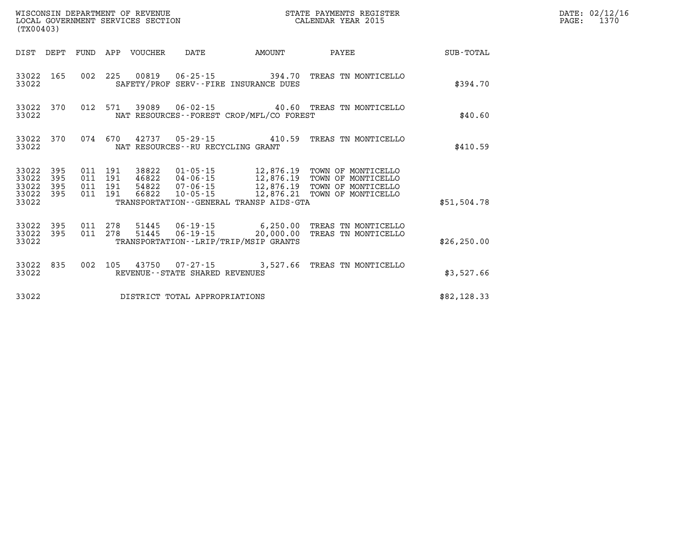| (TX00403)                                     |                   |                                          |     |                                  | WISCONSIN DEPARTMENT OF REVENUE<br>LOCAL GOVERNMENT SERVICES SECTION<br>(TX00403) |                                                                        | STATE PAYMENTS REGISTER<br>CALENDAR YEAR 2015                                                                                                                    |              | DATE: 02/12/16<br>$\mathtt{PAGE:}$<br>1370 |
|-----------------------------------------------|-------------------|------------------------------------------|-----|----------------------------------|-----------------------------------------------------------------------------------|------------------------------------------------------------------------|------------------------------------------------------------------------------------------------------------------------------------------------------------------|--------------|--------------------------------------------|
|                                               |                   |                                          |     | DIST DEPT FUND APP VOUCHER       | DATE                                                                              | <b>EXAMPLE THE PROPERTY OF AMOUNT</b>                                  | PAYEE                                                                                                                                                            | SUB-TOTAL    |                                            |
| 33022 165<br>33022                            |                   |                                          |     |                                  |                                                                                   | 002 225 00819 06-25-15 394.70<br>SAFETY/PROF SERV--FIRE INSURANCE DUES | TREAS TN MONTICELLO                                                                                                                                              | \$394.70     |                                            |
| 33022 370<br>33022                            |                   |                                          |     |                                  |                                                                                   | NAT RESOURCES - - FOREST CROP/MFL/CO FOREST                            | 012 571 39089 06-02-15 40.60 TREAS TN MONTICELLO                                                                                                                 | \$40.60      |                                            |
| 33022 370<br>33022                            |                   |                                          |     |                                  | NAT RESOURCES - - RU RECYCLING GRANT                                              |                                                                        | 074 670 42737 05-29-15 410.59 TREAS TN MONTICELLO                                                                                                                | \$410.59     |                                            |
| 33022<br>33022<br>33022<br>33022 395<br>33022 | 395<br>395<br>395 | 011 191<br>011 191<br>011 191<br>011 191 |     | 38822<br>46822<br>54822<br>66822 |                                                                                   | TRANSPORTATION--GENERAL TRANSP AIDS-GTA                                | 01-05-15 12,876.19 TOWN OF MONTICELLO<br>04-06-15 12,876.19 TOWN OF MONTICELLO<br>07-06-15 12,876.19 TOWN OF MONTICELLO<br>10-05-15 12,876.21 TOWN OF MONTICELLO | \$51,504.78  |                                            |
| 33022 395<br>33022 395<br>33022               |                   |                                          |     |                                  |                                                                                   | TRANSPORTATION - - LRIP/TRIP/MSIP GRANTS                               | 011  278  51445  06-19-15  6,250.00 TREAS TN MONTICELLO<br>011  278  51445  06-19-15  20,000.00 TREAS TN MONTICELLO                                              | \$26, 250.00 |                                            |
| 33022 835<br>33022                            |                   | 002                                      | 105 |                                  | REVENUE--STATE SHARED REVENUES                                                    |                                                                        | 43750  07-27-15  3,527.66  TREAS TN MONTICELLO                                                                                                                   | \$3,527.66   |                                            |
| 33022                                         |                   |                                          |     |                                  | DISTRICT TOTAL APPROPRIATIONS                                                     |                                                                        |                                                                                                                                                                  | \$82,128.33  |                                            |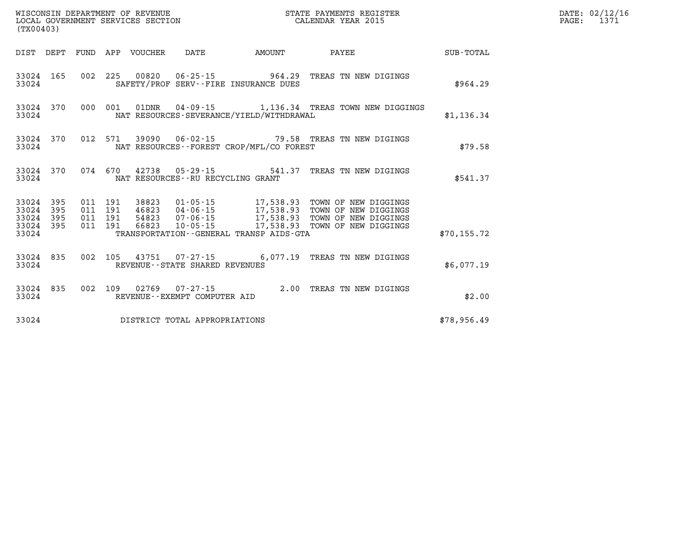| (TX00403)                                 |                          |                          |                          | WISCONSIN DEPARTMENT OF REVENUE<br>LOCAL GOVERNMENT SERVICES SECTION |                                                     |                                                                                             | STATE PAYMENTS REGISTER<br>CALENDAR YEAR 2015                                                |              |
|-------------------------------------------|--------------------------|--------------------------|--------------------------|----------------------------------------------------------------------|-----------------------------------------------------|---------------------------------------------------------------------------------------------|----------------------------------------------------------------------------------------------|--------------|
| DIST                                      | DEPT                     | FUND                     | APP                      | VOUCHER                                                              | DATE                                                | AMOUNT                                                                                      | PAYEE                                                                                        | SUB-TOTAL    |
| 33024<br>33024                            | 165                      | 002                      | 225                      |                                                                      | SAFETY/PROF SERV--FIRE INSURANCE DUES               | 00820 06-25-15 964.29                                                                       | TREAS TN NEW DIGINGS                                                                         | \$964.29     |
| 33024<br>33024                            | 370                      | 000                      | 001                      | 01DNR                                                                | $04 - 09 - 15$                                      | NAT RESOURCES-SEVERANCE/YIELD/WITHDRAWAL                                                    | 1,136.34 TREAS TOWN NEW DIGGINGS                                                             | \$1,136.34   |
| 33024<br>33024                            | 370                      | 012                      | 571                      |                                                                      |                                                     | NAT RESOURCES - - FOREST CROP/MFL/CO FOREST                                                 | 39090  06-02-15  79.58  TREAS TN NEW DIGINGS                                                 | \$79.58      |
| 33024<br>33024                            | 370                      | 074                      | 670                      | 42738                                                                | NAT RESOURCES - - RU RECYCLING GRANT                | $05 - 29 - 15$ 541.37                                                                       | TREAS TN NEW DIGINGS                                                                         | \$541.37     |
| 33024<br>33024<br>33024<br>33024<br>33024 | 395<br>395<br>395<br>395 | 011<br>011<br>011<br>011 | 191<br>191<br>191<br>191 | 38823<br>46823<br>54823<br>66823                                     | 01-05-15<br>04-06-15<br>07-06-15<br>$10 - 05 - 15$  | 17,538.93<br>17,538.93<br>17,538.93<br>17,538.93<br>TRANSPORTATION--GENERAL TRANSP AIDS-GTA | TOWN OF NEW DIGGINGS<br>TOWN OF NEW DIGGINGS<br>TOWN OF NEW DIGGINGS<br>TOWN OF NEW DIGGINGS | \$70, 155.72 |
| 33024<br>33024                            | 835                      | 002                      | 105                      | 43751                                                                | $07 - 27 - 15$<br>REVENUE - - STATE SHARED REVENUES | 6,077.19                                                                                    | TREAS TN NEW DIGINGS                                                                         | \$6,077.19   |
| 33024<br>33024                            | 835                      | 002                      | 109                      |                                                                      | 02769 07-27-15<br>REVENUE--EXEMPT COMPUTER AID      | 2.00                                                                                        | TREAS TN NEW DIGINGS                                                                         | \$2.00       |
| 33024                                     |                          |                          |                          |                                                                      | DISTRICT TOTAL APPROPRIATIONS                       |                                                                                             |                                                                                              | \$78,956.49  |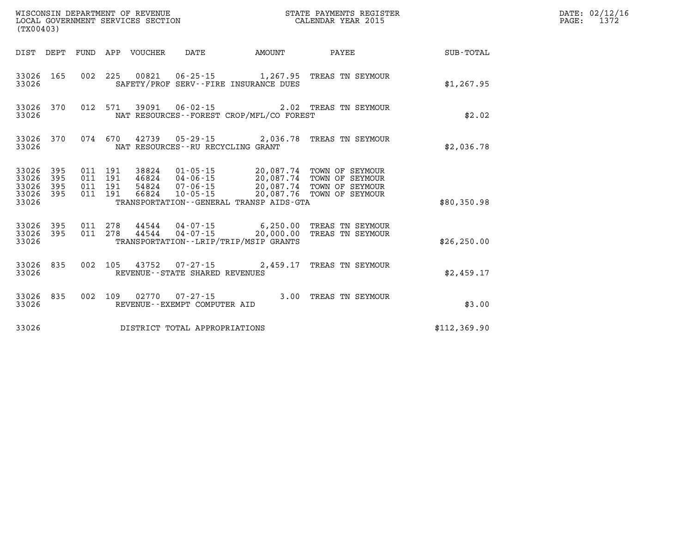| (TX00403)                                    |           |                                          |                                 | WISCONSIN DEPARTMENT OF REVENUE<br>LOCAL GOVERNMENT SERVICES SECTION |                                             | STATE PAYMENTS REGISTER<br>CALENDAR YEAR 2015                                                                                                                                            |              | DATE: 02/12/16<br>$\mathtt{PAGE:}$<br>1372 |
|----------------------------------------------|-----------|------------------------------------------|---------------------------------|----------------------------------------------------------------------|---------------------------------------------|------------------------------------------------------------------------------------------------------------------------------------------------------------------------------------------|--------------|--------------------------------------------|
|                                              |           |                                          | DIST DEPT FUND APP VOUCHER DATE |                                                                      | <b>AMOUNT</b>                               | PAYEE                                                                                                                                                                                    | SUB-TOTAL    |                                            |
| 33026                                        |           |                                          |                                 |                                                                      | SAFETY/PROF SERV--FIRE INSURANCE DUES       | 33026 165 002 225 00821 06-25-15 1,267.95 TREAS TN SEYMOUR                                                                                                                               | \$1,267.95   |                                            |
| 33026                                        | 33026 370 |                                          |                                 |                                                                      | NAT RESOURCES - - FOREST CROP/MFL/CO FOREST | 012 571 39091 06-02-15 2.02 TREAS TN SEYMOUR                                                                                                                                             | \$2.02       |                                            |
| 33026                                        | 33026 370 |                                          |                                 | NAT RESOURCES - - RU RECYCLING GRANT                                 |                                             | 074 670 42739 05-29-15 2,036.78 TREAS TN SEYMOUR                                                                                                                                         | \$2,036.78   |                                            |
| 33026 395<br>33026 395<br>33026 395<br>33026 | 33026 395 | 011 191<br>011 191<br>011 191<br>011 191 |                                 |                                                                      | TRANSPORTATION--GENERAL TRANSP AIDS-GTA     | 38824  01-05-15  20,087.74  TOWN OF SEYMOUR<br>46824  04-06-15  20,087.74  TOWN OF SEYMOUR<br>54824  07-06-15  20,087.74  TOWN OF SEYMOUR<br>66824  10-05-15  20,087.76  TOWN OF SEYMOUR | \$80,350.98  |                                            |
| 33026                                        | 33026 395 |                                          |                                 |                                                                      | TRANSPORTATION--LRIP/TRIP/MSIP GRANTS       | 33026 395 011 278 44544 04-07-15 6,250.00 TREAS TN SEYMOUR<br>011 278 44544 04-07-15 20,000.00 TREAS TN SEYMOUR                                                                          | \$26, 250.00 |                                            |
| 33026                                        | 33026 835 |                                          |                                 | REVENUE - - STATE SHARED REVENUES                                    |                                             | 002 105 43752 07-27-15 2,459.17 TREAS TN SEYMOUR                                                                                                                                         | \$2,459.17   |                                            |
| 33026                                        | 33026 835 |                                          |                                 | 002 109 02770 07-27-15<br>REVENUE--EXEMPT COMPUTER AID               |                                             | 3.00 TREAS TN SEYMOUR                                                                                                                                                                    | \$3.00       |                                            |
| 33026                                        |           |                                          |                                 | DISTRICT TOTAL APPROPRIATIONS                                        |                                             |                                                                                                                                                                                          | \$112,369.90 |                                            |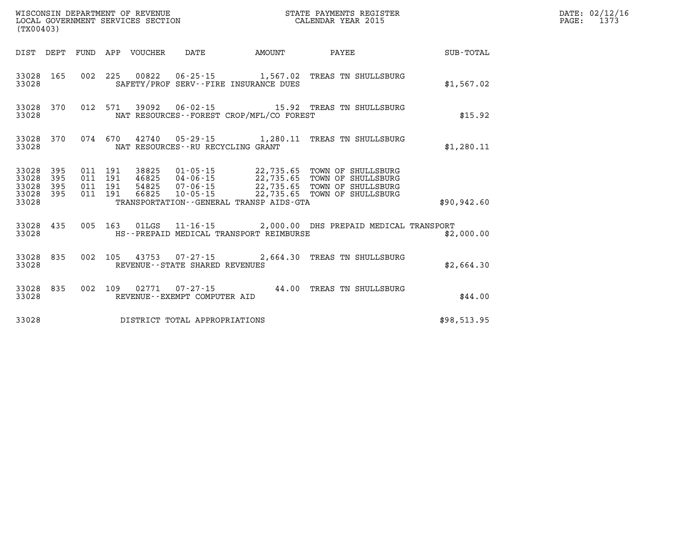| WISCONSIN DEPARTMENT OF REVENUE<br>LOCAL GOVERNMENT SERVICES SECTION<br>(TX00403)                  |                                                                                                                                                                                                                                                 | STATE PAYMENTS REGISTER<br>CALENDAR YEAR 2015 |              | DATE: 02/12/16<br>1373<br>$\mathtt{PAGE}$ : |
|----------------------------------------------------------------------------------------------------|-------------------------------------------------------------------------------------------------------------------------------------------------------------------------------------------------------------------------------------------------|-----------------------------------------------|--------------|---------------------------------------------|
| DIST DEPT FUND APP VOUCHER                                                                         | DATE<br>AMOUNT                                                                                                                                                                                                                                  | PAYEE                                         | SUB-TOTAL    |                                             |
| 33028 165<br>33028                                                                                 | 002 225 00822 06-25-15 1,567.02 TREAS TN SHULLSBURG<br>SAFETY/PROF SERV--FIRE INSURANCE DUES                                                                                                                                                    |                                               | \$1,567.02   |                                             |
| 33028 370<br>012 571 39092<br>33028                                                                | 06-02-15 15.92 TREAS TN SHULLSBURG<br>NAT RESOURCES - - FOREST CROP/MFL/CO FOREST                                                                                                                                                               |                                               | \$15.92      |                                             |
| 33028 370<br>33028                                                                                 | 074 670 42740 05-29-15 1,280.11 TREAS TN SHULLSBURG<br>NAT RESOURCES -- RU RECYCLING GRANT                                                                                                                                                      |                                               | \$1,280.11   |                                             |
| 33028 395<br>011 191<br>33028 395<br>011 191<br>33028 395<br>011 191<br>33028 395 011 191<br>33028 | 38825<br>01-05-15 22,735.65 TOWN OF SHULLSBURG<br>04-06-15 22,735.65 TOWN OF SHULLSBURG<br>07-06-15 22,735.65 TOWN OF SHULLSBURG<br>10-05-15 22,735.65 TOWN OF SHULLSBURG<br>46825<br>54825<br>66825<br>TRANSPORTATION--GENERAL TRANSP AIDS-GTA |                                               | \$90, 942.60 |                                             |
| 33028 435<br>33028                                                                                 | 005 163 01LGS 11-16-15 2,000.00 DHS PREPAID MEDICAL TRANSPORT<br>HS--PREPAID MEDICAL TRANSPORT REIMBURSE                                                                                                                                        |                                               | \$2,000.00   |                                             |
| 33028 835<br>33028                                                                                 | 002 105 43753 07-27-15 2,664.30 TREAS TN SHULLSBURG<br>REVENUE - - STATE SHARED REVENUES                                                                                                                                                        |                                               | \$2,664.30   |                                             |
| 33028 835<br>33028                                                                                 | 002 109 02771 07-27-15 44.00 TREAS TN SHULLSBURG<br>REVENUE--EXEMPT COMPUTER AID                                                                                                                                                                |                                               | \$44.00      |                                             |
| 33028                                                                                              | DISTRICT TOTAL APPROPRIATIONS                                                                                                                                                                                                                   |                                               | \$98,513.95  |                                             |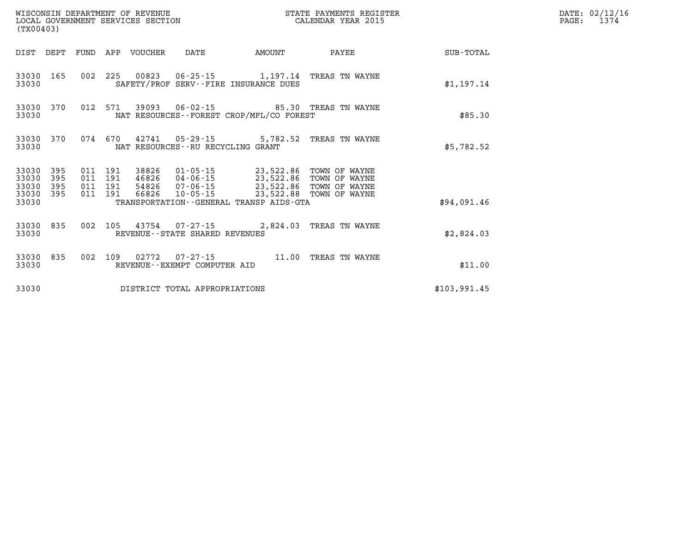| (TX00403)                                |              |                                          | WISCONSIN DEPARTMENT OF REVENUE | LOCAL GOVERNMENT SERVICES SECTION |                                                                                                                                                          | STATE PAYMENTS REGISTER<br>CALENDAR YEAR 2015  |              | DATE: 02/12/16<br>$\mathtt{PAGE}$ :<br>1374 |
|------------------------------------------|--------------|------------------------------------------|---------------------------------|-----------------------------------|----------------------------------------------------------------------------------------------------------------------------------------------------------|------------------------------------------------|--------------|---------------------------------------------|
|                                          |              |                                          | DIST DEPT FUND APP VOUCHER      | DATE                              | AMOUNT                                                                                                                                                   | PAYEE                                          | SUB-TOTAL    |                                             |
| 33030                                    | 33030 165    |                                          |                                 |                                   | SAFETY/PROF SERV--FIRE INSURANCE DUES                                                                                                                    | 002 225 00823 06-25-15 1,197.14 TREAS TN WAYNE | \$1,197.14   |                                             |
| 33030                                    | 33030 370    |                                          |                                 |                                   | NAT RESOURCES - - FOREST CROP/MFL/CO FOREST                                                                                                              | 012 571 39093 06-02-15 85.30 TREAS TN WAYNE    | \$85.30      |                                             |
| 33030                                    | 33030 370    | 074 670                                  |                                 | NAT RESOURCES--RU RECYCLING GRANT |                                                                                                                                                          | 42741  05-29-15  5,782.52  TREAS TN WAYNE      | \$5,782.52   |                                             |
| 33030 395<br>33030<br>33030<br>33030 395 | - 395<br>395 | 011 191<br>011 191<br>011 191<br>011 191 | 38826<br>66826                  |                                   | 01-05-15 23,522.86 TOWN OF WAYNE<br>46826 04-06-15 23,522.86 TOWN OF WAYNE<br>54826 07-06-15 23,522.86 TOWN OF WAYNE<br>10-05-15 23,522.88 TOWN OF WAYNE |                                                |              |                                             |
| 33030                                    |              |                                          |                                 |                                   | TRANSPORTATION--GENERAL TRANSP AIDS-GTA                                                                                                                  |                                                | \$94,091.46  |                                             |
| 33030                                    | 33030 835    |                                          |                                 | REVENUE--STATE SHARED REVENUES    |                                                                                                                                                          | 002 105 43754 07-27-15 2,824.03 TREAS TN WAYNE | \$2,824.03   |                                             |
| 33030                                    | 33030 835    |                                          |                                 | REVENUE--EXEMPT COMPUTER AID      |                                                                                                                                                          | 002 109 02772 07-27-15 11.00 TREAS TN WAYNE    | \$11.00      |                                             |
| 33030                                    |              |                                          |                                 | DISTRICT TOTAL APPROPRIATIONS     |                                                                                                                                                          |                                                | \$103,991.45 |                                             |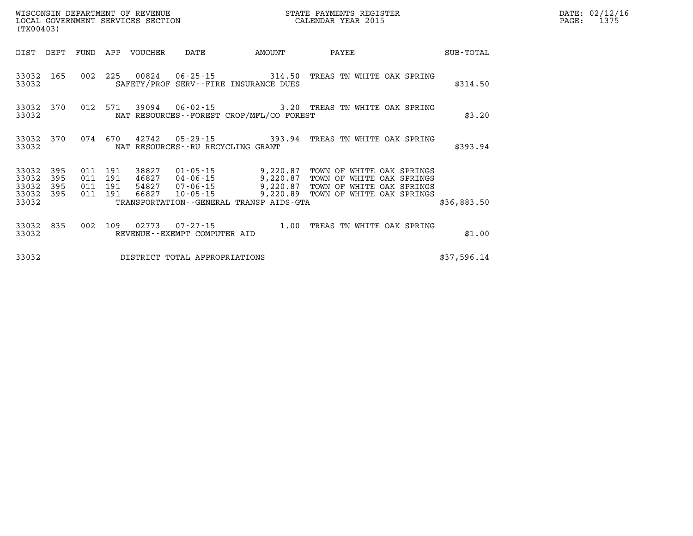| $\mathtt{PAGE:}$ | DATE: 02/12/16<br>1375 |
|------------------|------------------------|
|                  |                        |

| WISCONSIN DEPARTMENT OF REVENUE<br>LOCAL GOVERNMENT SERVICES SECTION<br>(TX00403) |                          |     |                                      |                         |                               | STATE PAYMENTS REGISTER<br>CALENDAR YEAR 2015 |                                                                                                                                                                        | PAGE: | DATE: 02/12/1<br>1375 |  |  |
|-----------------------------------------------------------------------------------|--------------------------|-----|--------------------------------------|-------------------------|-------------------------------|-----------------------------------------------|------------------------------------------------------------------------------------------------------------------------------------------------------------------------|-------|-----------------------|--|--|
| DIST                                                                              | DEPT                     |     |                                      | FUND APP VOUCHER        | DATE                          | AMOUNT                                        | <b>PAYEE</b>                                                                                                                                                           |       | SUB-TOTAL             |  |  |
| 33032<br>33032                                                                    | 165                      |     | 002 225                              |                         |                               | SAFETY/PROF SERV--FIRE INSURANCE DUES         | 00824  06-25-15  314.50  TREAS TN WHITE OAK SPRING                                                                                                                     |       | \$314.50              |  |  |
| 33032<br>33032                                                                    | 370                      |     |                                      |                         |                               | NAT RESOURCES--FOREST CROP/MFL/CO FOREST      | 012 571 39094 06-02-15 3.20 TREAS TN WHITE OAK SPRING                                                                                                                  |       | \$3.20                |  |  |
| 33032<br>33032                                                                    | 370                      |     |                                      |                         |                               | NAT RESOURCES--RU RECYCLING GRANT             | 074 670 42742 05-29-15 393.94 TREAS TN WHITE OAK SPRING                                                                                                                |       | \$393.94              |  |  |
| 33032<br>33032<br>33032<br>33032<br>33032                                         | 395<br>395<br>395<br>395 | 011 | 191<br>011 191<br>011 191<br>011 191 | 38827<br>46827<br>66827 | 54827 07-06-15<br>10-05-15    | TRANSPORTATION--GENERAL TRANSP AIDS-GTA       | 01-05-15 9,220.87 TOWN OF WHITE OAK SPRINGS<br>04-06-15 9,220.87 TOWN OF WHITE OAK SPRINGS<br>9,220.87 TOWN OF WHITE OAK SPRINGS<br>9,220.87 TOWN OF WHITE OAK SPRINGS |       | \$36,883.50           |  |  |
| 33032<br>33032                                                                    | 835                      |     |                                      |                         | REVENUE--EXEMPT COMPUTER AID  |                                               | 002 109 02773 07-27-15 1.00 TREAS TN WHITE OAK SPRING                                                                                                                  |       | \$1.00                |  |  |
| 33032                                                                             |                          |     |                                      |                         | DISTRICT TOTAL APPROPRIATIONS |                                               |                                                                                                                                                                        |       | \$37,596.14           |  |  |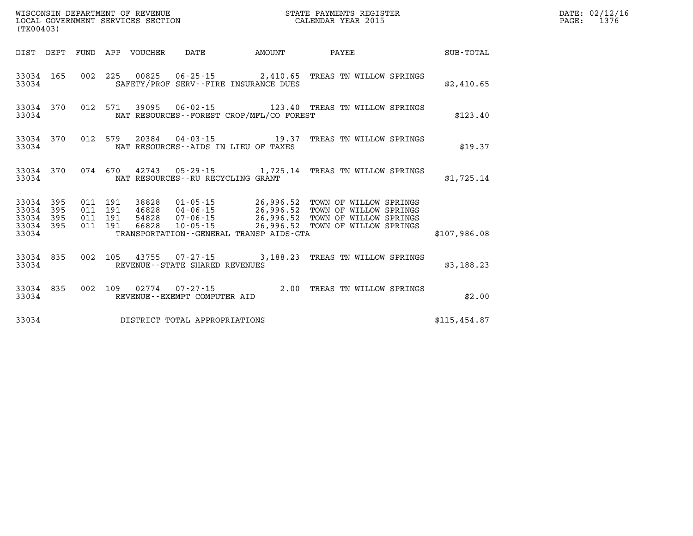| WISCONSIN DEPARTMENT OF REVENUE                               STATE PAYMENTS REGIST LOCAL GOVERNMENT SERVICES SECTION                                   CALENDAR YEAR 2015<br>(TX00403) |           |  |                                          |                                  |                                         |                                                  | STATE PAYMENTS REGISTER                                                                                                                                                          |              | DATE: 02/12/16<br>$\mathtt{PAGE:}$<br>1376 |
|-----------------------------------------------------------------------------------------------------------------------------------------------------------------------------------------|-----------|--|------------------------------------------|----------------------------------|-----------------------------------------|--------------------------------------------------|----------------------------------------------------------------------------------------------------------------------------------------------------------------------------------|--------------|--------------------------------------------|
|                                                                                                                                                                                         |           |  |                                          |                                  |                                         |                                                  |                                                                                                                                                                                  |              |                                            |
| 33034                                                                                                                                                                                   | 33034 165 |  |                                          |                                  |                                         | SAFETY/PROF SERV--FIRE INSURANCE DUES            | 002 225 00825 06-25-15 2,410.65 TREAS TN WILLOW SPRINGS                                                                                                                          | \$2,410.65   |                                            |
| 33034                                                                                                                                                                                   |           |  |                                          |                                  |                                         | NAT RESOURCES--FOREST CROP/MFL/CO FOREST         | 33034 370 012 571 39095 06-02-15 123.40 TREAS TN WILLOW SPRINGS                                                                                                                  | \$123.40     |                                            |
| 33034                                                                                                                                                                                   |           |  |                                          |                                  |                                         | NAT RESOURCES--AIDS IN LIEU OF TAXES             | 33034 370 012 579 20384 04-03-15 19.37 TREAS TN WILLOW SPRINGS                                                                                                                   | \$19.37      |                                            |
|                                                                                                                                                                                         | 33034 370 |  |                                          |                                  | 33034 NAT RESOURCES--RU RECYCLING GRANT |                                                  | 074 670 42743 05-29-15 1,725.14 TREAS TN WILLOW SPRINGS                                                                                                                          | \$1,725.14   |                                            |
| 33034 395<br>33034 395<br>33034 395<br>33034 395                                                                                                                                        |           |  | 011 191<br>011 191<br>011 191<br>011 191 | 38828<br>46828<br>54828<br>66828 |                                         |                                                  | 01-05-15 26,996.52 TOWN OF WILLOW SPRINGS<br>04-06-15 26,996.52 TOWN OF WILLOW SPRINGS<br>07-06-15 26,996.52 TOWN OF WILLOW SPRINGS<br>10-05-15 26,996.52 TOWN OF WILLOW SPRINGS |              |                                            |
|                                                                                                                                                                                         |           |  |                                          |                                  |                                         | 33034 TRANSPORTATION - GENERAL TRANSP AIDS - GTA |                                                                                                                                                                                  | \$107,986.08 |                                            |
| 33034 835<br>33034                                                                                                                                                                      |           |  |                                          |                                  | REVENUE--STATE SHARED REVENUES          |                                                  | 002 105 43755 07-27-15 3,188.23 TREAS TN WILLOW SPRINGS                                                                                                                          | \$3,188.23   |                                            |
|                                                                                                                                                                                         | 33034     |  |                                          |                                  | REVENUE--EXEMPT COMPUTER AID            |                                                  | 33034 835 002 109 02774 07-27-15 2.00 TREAS TN WILLOW SPRINGS                                                                                                                    | \$2.00       |                                            |
|                                                                                                                                                                                         |           |  |                                          |                                  | 33034 DISTRICT TOTAL APPROPRIATIONS     |                                                  |                                                                                                                                                                                  | \$115,454.87 |                                            |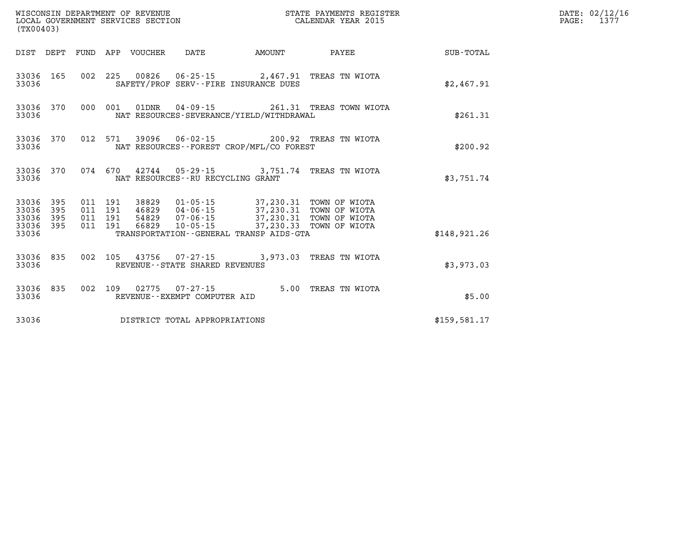|                    | WISCONSIN DEPARTMENT OF REVENUE<br>LOCAL GOVERNMENT SERVICES SECTION<br>(TX00403) |         |                               |                                 |                                                        |                                                                                                                                                                                  | STATE PAYMENTS REGISTER<br>CALENDAR YEAR 2015  |              | DATE: 02/12/16<br>PAGE: 1377 |
|--------------------|-----------------------------------------------------------------------------------|---------|-------------------------------|---------------------------------|--------------------------------------------------------|----------------------------------------------------------------------------------------------------------------------------------------------------------------------------------|------------------------------------------------|--------------|------------------------------|
|                    |                                                                                   |         |                               | DIST DEPT FUND APP VOUCHER DATE |                                                        | <b>AMOUNT</b>                                                                                                                                                                    | PAYEE                                          | SUB-TOTAL    |                              |
| 33036              | 33036 165                                                                         |         |                               |                                 |                                                        | SAFETY/PROF SERV--FIRE INSURANCE DUES                                                                                                                                            | 002 225 00826 06-25-15 2,467.91 TREAS TN WIOTA | \$2,467.91   |                              |
| 33036              | 33036 370                                                                         |         |                               |                                 |                                                        | NAT RESOURCES-SEVERANCE/YIELD/WITHDRAWAL                                                                                                                                         | 000 001 01DNR 04-09-15 261.31 TREAS TOWN WIOTA | \$261.31     |                              |
| 33036              | 33036 370                                                                         |         |                               |                                 |                                                        | NAT RESOURCES--FOREST CROP/MFL/CO FOREST                                                                                                                                         | 012 571 39096 06-02-15 200.92 TREAS TN WIOTA   | \$200.92     |                              |
| 33036              | 33036 370                                                                         |         |                               |                                 | NAT RESOURCES--RU RECYCLING GRANT                      |                                                                                                                                                                                  | 074 670 42744 05-29-15 3,751.74 TREAS TN WIOTA | \$3,751.74   |                              |
| 33036 395<br>33036 | 395<br>33036 395<br>33036 395                                                     | 011 191 | 011 191<br>011 191<br>011 191 |                                 |                                                        | 38829  01-05-15  37,230.31  TOWN OF WIOTA<br>46829  04-06-15  37,230.31  TOWN OF WIOTA<br>54829  07-06-15  37,230.31  TOWN OF WIOTA<br>66829  10-05-15  37,230.33  TOWN OF WIOTA |                                                |              |                              |
| 33036              |                                                                                   |         |                               |                                 |                                                        | TRANSPORTATION--GENERAL TRANSP AIDS-GTA                                                                                                                                          |                                                | \$148,921.26 |                              |
| 33036              | 33036 835                                                                         |         |                               |                                 | REVENUE - - STATE SHARED REVENUES                      |                                                                                                                                                                                  | 002 105 43756 07-27-15 3,973.03 TREAS TN WIOTA | \$3,973,03   |                              |
| 33036              | 33036 835                                                                         |         |                               |                                 | 002 109 02775 07-27-15<br>REVENUE--EXEMPT COMPUTER AID |                                                                                                                                                                                  | 5.00 TREAS TN WIOTA                            | \$5.00       |                              |
| 33036              |                                                                                   |         |                               |                                 | DISTRICT TOTAL APPROPRIATIONS                          |                                                                                                                                                                                  |                                                | \$159.581.17 |                              |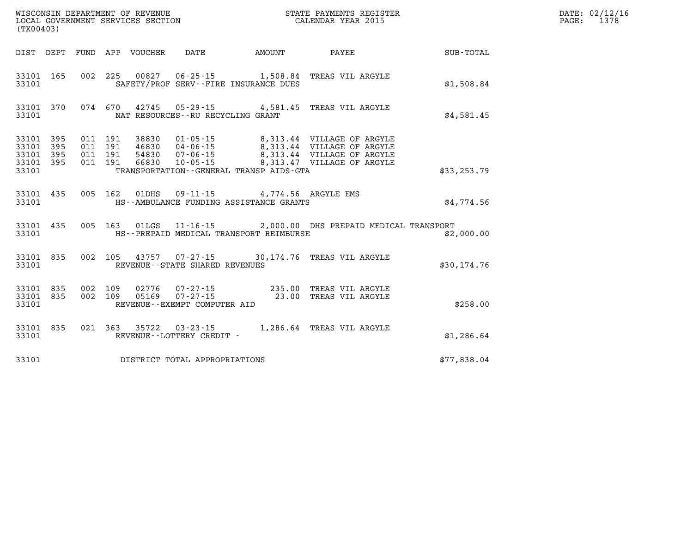| (TX00403)                       |                        |  |                                            |                                                                                                         |                                                                                                                                                                                                                                                                                                                                                 |                                                    | DATE: 02/12/16<br>PAGE: 1378 |
|---------------------------------|------------------------|--|--------------------------------------------|---------------------------------------------------------------------------------------------------------|-------------------------------------------------------------------------------------------------------------------------------------------------------------------------------------------------------------------------------------------------------------------------------------------------------------------------------------------------|----------------------------------------------------|------------------------------|
|                                 |                        |  |                                            |                                                                                                         |                                                                                                                                                                                                                                                                                                                                                 | DIST DEPT FUND APP VOUCHER DATE AMOUNT PAYEE TOTAL |                              |
| 33101                           |                        |  |                                            | SAFETY/PROF SERV--FIRE INSURANCE DUES                                                                   | 33101 165 002 225 00827 06-25-15 1,508.84 TREAS VIL ARGYLE                                                                                                                                                                                                                                                                                      | \$1,508.84                                         |                              |
|                                 |                        |  | 33101 NAT RESOURCES - - RU RECYCLING GRANT |                                                                                                         | 33101 370 074 670 42745 05-29-15 4,581.45 TREAS VIL ARGYLE                                                                                                                                                                                                                                                                                      | \$4,581.45                                         |                              |
| 33101 395<br>33101 395<br>33101 | 33101 395<br>33101 395 |  |                                            | TRANSPORTATION - - GENERAL TRANSP AIDS - GTA                                                            | $\begin{array}{cccc} 011 & 191 & 38830 & 01\cdot 05\cdot 15 & 8\,, 313\,.44 & \text{VILLAGE OF ARGYLE} \\ 011 & 191 & 46830 & 04\cdot 06\cdot 15 & 8\,, 313\,.44 & \text{VILLAGE OF ARGYLE} \\ 011 & 191 & 54830 & 07\cdot 06\cdot 15 & 8\,, 313\,.44 & \text{VILLAGE OF ARGYLE} \\ 011 & 191 & 66830 & 10\cdot 05\cdot 15 & 8\,, 313\,.47 & \$ | \$33, 253, 79                                      |                              |
|                                 |                        |  |                                            | 33101 435 005 162 01DHS 09-11-15 4,774.56 ARGYLE EMS<br>33101 THIS--AMBULANCE FUNDING ASSISTANCE GRANTS |                                                                                                                                                                                                                                                                                                                                                 | \$4,774.56                                         |                              |
| 33101                           |                        |  |                                            | HS--PREPAID MEDICAL TRANSPORT REIMBURSE                                                                 | 33101 435 005 163 01LGS 11-16-15 2,000.00 DHS PREPAID MEDICAL TRANSPORT                                                                                                                                                                                                                                                                         | \$2,000.00                                         |                              |
|                                 |                        |  | 33101 REVENUE - STATE SHARED REVENUES      |                                                                                                         | 33101 835 002 105 43757 07-27-15 30,174.76 TREAS VIL ARGYLE                                                                                                                                                                                                                                                                                     | \$30,174.76                                        |                              |
|                                 |                        |  | 33101 REVENUE - - EXEMPT COMPUTER AID      |                                                                                                         | $\begin{array}{cccccccc} 33101 & 835 & 002 & 109 & 02776 & 07\text{-}27\text{-}15 & & & 235.00 & \text{TREAS VIL ARGYLE} \\ 33101 & 835 & 002 & 109 & 05169 & 07\text{-}27\text{-}15 & & & 23.00 & \text{TREAS VIL ARGYLE} \end{array}$                                                                                                         | \$258.00                                           |                              |
|                                 |                        |  |                                            |                                                                                                         | $\begin{tabular}{lllllll} 33101 & 835 & 021 & 363 & 35722 & 03-23-15 & 1,286.64 \end{tabular} \begin{tabular}{lllll} 1,286.64 & TREAS VIL ARGYLE \\ 33101 & REVENUE--LOTTERY CREDIT -& \end{tabular}$                                                                                                                                           | \$1,286.64                                         |                              |
| 33101                           |                        |  | DISTRICT TOTAL APPROPRIATIONS              |                                                                                                         |                                                                                                                                                                                                                                                                                                                                                 | \$77,838.04                                        |                              |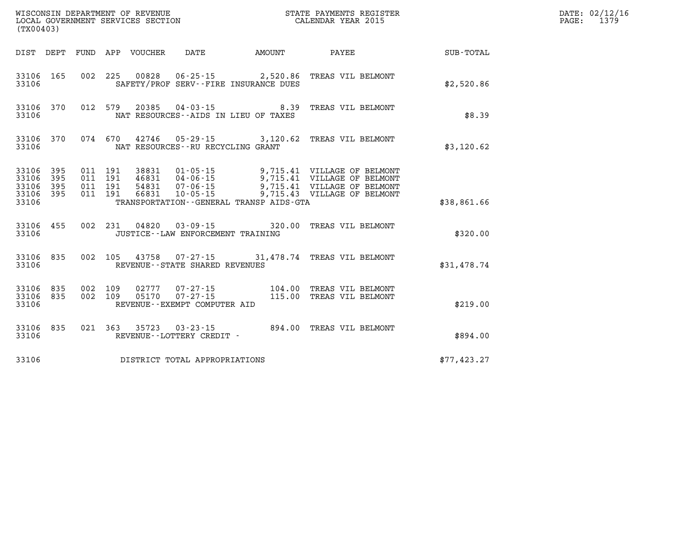|                                                       | WISCONSIN DEPARTMENT OF REVENUE<br>LOCAL GOVERNMENT SERVICES SECTION<br>(TX00403) |                                          |  |       |                                        |                                                                          | STATE PAYMENTS REGISTER<br>STATE PAYMENTS REGIS'<br>CALENDAR YEAR 2015                                                                                                                                             |             | DATE: 02/12/16<br>PAGE: 1379 |
|-------------------------------------------------------|-----------------------------------------------------------------------------------|------------------------------------------|--|-------|----------------------------------------|--------------------------------------------------------------------------|--------------------------------------------------------------------------------------------------------------------------------------------------------------------------------------------------------------------|-------------|------------------------------|
|                                                       |                                                                                   |                                          |  |       | DIST DEPT FUND APP VOUCHER DATE AMOUNT |                                                                          | <b>PAYEE</b>                                                                                                                                                                                                       | SUB-TOTAL   |                              |
| 33106                                                 | 33106 165                                                                         |                                          |  |       |                                        | 002 225 00828 06-25-15 2,520.86<br>SAFETY/PROF SERV--FIRE INSURANCE DUES | TREAS VIL BELMONT                                                                                                                                                                                                  | \$2,520.86  |                              |
| 33106                                                 |                                                                                   |                                          |  |       | NAT RESOURCES--AIDS IN LIEU OF TAXES   |                                                                          | 33106 370 012 579 20385 04-03-15 8.39 TREAS VIL BELMONT                                                                                                                                                            | \$8.39      |                              |
| 33106                                                 | 33106 370                                                                         |                                          |  |       | NAT RESOURCES - - RU RECYCLING GRANT   |                                                                          | 074 670 42746 05-29-15 3,120.62 TREAS VIL BELMONT                                                                                                                                                                  | \$3,120.62  |                              |
| 33106 395<br>33106 395<br>33106<br>33106 395<br>33106 | 395                                                                               | 011 191<br>011 191<br>011 191<br>011 191 |  | 38831 | $01 - 05 - 15$                         | TRANSPORTATION--GENERAL TRANSP AIDS-GTA                                  | 9,715.41 VILLAGE OF BELMONT<br>3, 715.41 VILLAGE OF BELMONT<br>54831 04-06-15 9, 715.41 VILLAGE OF BELMONT<br>54831 07-06-15 9, 715.41 VILLAGE OF BELMONT<br>66831  10-05-15  9,715.43  VILLAGE OF BELMONT         | \$38,861.66 |                              |
| 33106                                                 | 33106 455                                                                         |                                          |  |       | JUSTICE - - LAW ENFORCEMENT TRAINING   |                                                                          | 002 231 04820 03-09-15 320.00 TREAS VIL BELMONT                                                                                                                                                                    | \$320.00    |                              |
| 33106                                                 |                                                                                   |                                          |  |       | REVENUE - - STATE SHARED REVENUES      |                                                                          | 33106 835 002 105 43758 07-27-15 31,478.74 TREAS VIL BELMONT                                                                                                                                                       | \$31,478.74 |                              |
| 33106                                                 | 33106 835 002 109<br>33106 835                                                    |                                          |  |       | REVENUE--EXEMPT COMPUTER AID           |                                                                          | $\begin{array}{cccc} 002 & 109 & 02777 & 07\text{-}27\text{-}15 & 104\text{ .}00 & \text{TREAS VIL BELMONT} \\ 002 & 109 & 05170 & 07\text{-}27\text{-}15 & 115\text{ .}00 & \text{TREAS VIL BELMONT} \end{array}$ | \$219.00    |                              |
| 33106                                                 | 33106 835                                                                         |                                          |  |       | REVENUE--LOTTERY CREDIT -              |                                                                          | 021 363 35723 03-23-15 894.00 TREAS VIL BELMONT                                                                                                                                                                    | \$894.00    |                              |
| 33106                                                 |                                                                                   |                                          |  |       | DISTRICT TOTAL APPROPRIATIONS          |                                                                          |                                                                                                                                                                                                                    | \$77,423.27 |                              |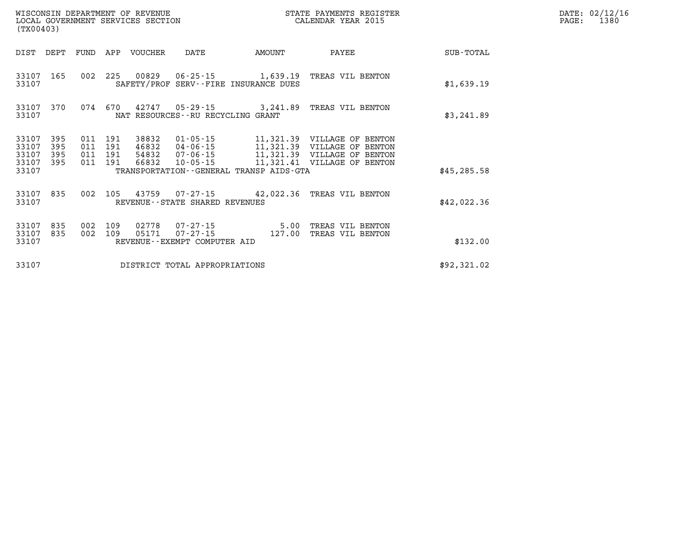| (TX00403)                        |                          |                          |                          | WISCONSIN DEPARTMENT OF REVENUE<br>LOCAL GOVERNMENT SERVICES SECTION |                                                            | STATE PAYMENTS REGISTER<br>CALENDAR YEAR 2015     |                                                                                                                          |                  |  |
|----------------------------------|--------------------------|--------------------------|--------------------------|----------------------------------------------------------------------|------------------------------------------------------------|---------------------------------------------------|--------------------------------------------------------------------------------------------------------------------------|------------------|--|
| DIST                             | DEPT                     | FUND                     | APP                      | <b>VOUCHER</b>                                                       | DATE                                                       | AMOUNT                                            | PAYEE                                                                                                                    | <b>SUB-TOTAL</b> |  |
| 33107<br>33107                   | 165                      | 002                      | 225                      |                                                                      | 00829 06-25-15                                             | 1,639.19<br>SAFETY/PROF SERV--FIRE INSURANCE DUES | TREAS VIL BENTON                                                                                                         | \$1,639.19       |  |
| 33107<br>33107                   | 370                      | 074                      | 670                      |                                                                      | NAT RESOURCES - - RU RECYCLING GRANT                       | 42747 05-29-15 3,241.89                           | TREAS VIL BENTON                                                                                                         | \$3,241.89       |  |
| 33107<br>33107<br>33107<br>33107 | 395<br>395<br>395<br>395 | 011<br>011<br>011<br>011 | 191<br>191<br>191<br>191 | 38832<br>46832<br>54832<br>66832                                     | 01-05-15<br>04-06-15<br>$07 - 06 - 15$<br>$10 - 05 - 15$   |                                                   | 11,321.39 VILLAGE OF BENTON<br>11,321.39 VILLAGE OF BENTON<br>11,321.39 VILLAGE OF BENTON<br>11,321.41 VILLAGE OF BENTON |                  |  |
| 33107                            |                          |                          |                          |                                                                      |                                                            | TRANSPORTATION--GENERAL TRANSP AIDS-GTA           |                                                                                                                          | \$45, 285.58     |  |
| 33107<br>33107                   | 835                      | 002                      | 105                      |                                                                      | REVENUE--STATE SHARED REVENUES                             | 43759 07-27-15 42,022.36                          | TREAS VIL BENTON                                                                                                         | \$42,022.36      |  |
| 33107<br>33107<br>33107          | 835<br>835               | 002<br>002               | 109<br>109               | 02778<br>05171                                                       | 07-27-15<br>$07 - 27 - 15$<br>REVENUE--EXEMPT COMPUTER AID | 5.00<br>127.00                                    | TREAS VIL BENTON<br>TREAS VIL BENTON                                                                                     | \$132.00         |  |
| 33107                            |                          |                          |                          |                                                                      | DISTRICT TOTAL APPROPRIATIONS                              |                                                   |                                                                                                                          | \$92,321.02      |  |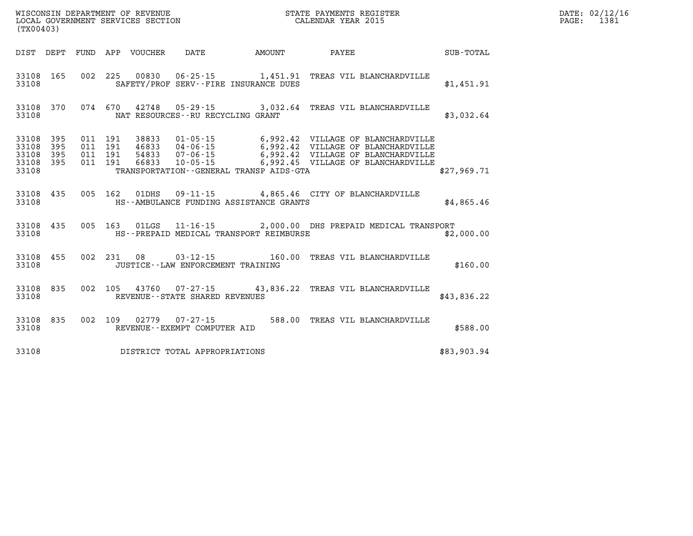| WISCONSIN DEPARTMENT OF REVENUE   | STATE PAYMENTS REGISTER |      | DATE: 02/12/16 |
|-----------------------------------|-------------------------|------|----------------|
| LOCAL GOVERNMENT SERVICES SECTION | CALENDAR YEAR 2015      | PAGE | 138.           |

| (TX00403)                                 |                          |                          |                          |                                  |                                                                                                           |                                  |                                                                                                                           |             |
|-------------------------------------------|--------------------------|--------------------------|--------------------------|----------------------------------|-----------------------------------------------------------------------------------------------------------|----------------------------------|---------------------------------------------------------------------------------------------------------------------------|-------------|
| DIST                                      | DEPT                     | FUND                     | APP                      | VOUCHER                          | DATE                                                                                                      | AMOUNT                           | PAYEE                                                                                                                     | SUB-TOTAL   |
| 33108<br>33108                            | 165                      | 002                      | 225                      | 00830                            | SAFETY/PROF SERV--FIRE INSURANCE DUES                                                                     |                                  | 06-25-15 1,451.91 TREAS VIL BLANCHARDVILLE                                                                                | \$1,451.91  |
| 33108<br>33108                            | 370                      | 074                      | 670                      |                                  | $42748$ 05-29-15 3,032.64<br>NAT RESOURCES - - RU RECYCLING GRANT                                         |                                  | TREAS VIL BLANCHARDVILLE                                                                                                  | \$3,032.64  |
| 33108<br>33108<br>33108<br>33108<br>33108 | 395<br>395<br>395<br>395 | 011<br>011<br>011<br>011 | 191<br>191<br>191<br>191 | 38833<br>46833<br>54833<br>66833 | $01 - 05 - 15$<br>04-06-15<br>$07 - 06 - 15$<br>$10 - 05 - 15$<br>TRANSPORTATION--GENERAL TRANSP AIDS-GTA | 6,992.42<br>6,992.42<br>6,992.42 | VILLAGE OF BLANCHARDVILLE<br>VILLAGE OF BLANCHARDVILLE<br>VILLAGE OF BLANCHARDVILLE<br>6,992.45 VILLAGE OF BLANCHARDVILLE | \$27,969.71 |
| 33108<br>33108                            | 435                      | 005                      | 162                      | 01DHS                            | HS--AMBULANCE FUNDING ASSISTANCE GRANTS                                                                   |                                  | 09-11-15 4,865.46 CITY OF BLANCHARDVILLE                                                                                  | \$4,865.46  |
| 33108<br>33108                            | 435                      | 005                      | 163                      | 01LGS                            | HS--PREPAID MEDICAL TRANSPORT REIMBURSE                                                                   |                                  | 11-16-15 2,000.00 DHS PREPAID MEDICAL TRANSPORT                                                                           | \$2,000.00  |
| 33108<br>33108                            | 455                      | 002                      | 231                      | 08                               | $03 - 12 - 15$<br>JUSTICE - - LAW ENFORCEMENT TRAINING                                                    | 160.00                           | TREAS VIL BLANCHARDVILLE                                                                                                  | \$160.00    |
| 33108<br>33108                            | 835                      | 002                      | 105                      | 43760                            | REVENUE - - STATE SHARED REVENUES                                                                         |                                  | 07-27-15 43,836.22 TREAS VIL BLANCHARDVILLE                                                                               | \$43,836.22 |
| 33108<br>33108                            | 835                      | 002                      | 109                      | 02779                            | $07 - 27 - 15$<br>REVENUE--EXEMPT COMPUTER AID                                                            | 588.00                           | TREAS VIL BLANCHARDVILLE                                                                                                  | \$588.00    |
| 33108                                     |                          |                          |                          |                                  | DISTRICT TOTAL APPROPRIATIONS                                                                             |                                  |                                                                                                                           | \$83,903.94 |

WISCONSIN DEPARTMENT OF REVENUE **STATE PAYMENTS REGISTER**<br>LOCAL GOVERNMENT SERVICES SECTION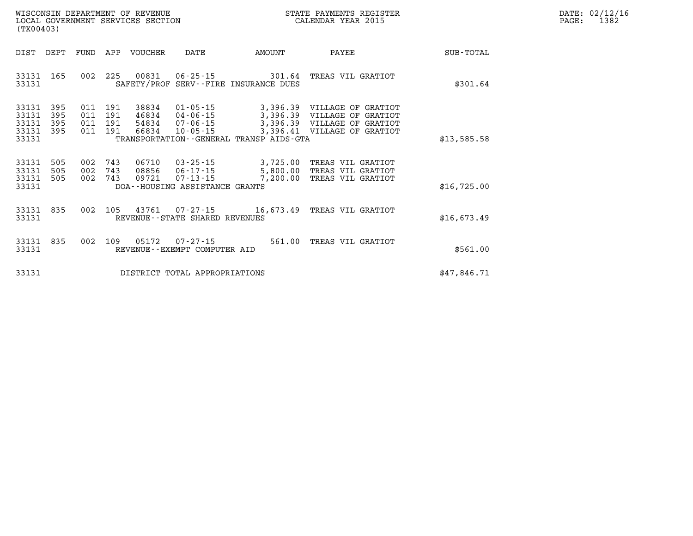| DATE: | 02/12/16 |
|-------|----------|
| PAGE: | 1382     |

| WISCONSIN DEPARTMENT OF REVENUE<br>(TX00403)                                                      | LOCAL GOVERNMENT SERVICES SECTION                                                                                                                                               | STATE PAYMENTS REGISTER<br>CALENDAR YEAR 2015                                                                                     |                  |
|---------------------------------------------------------------------------------------------------|---------------------------------------------------------------------------------------------------------------------------------------------------------------------------------|-----------------------------------------------------------------------------------------------------------------------------------|------------------|
| DIST<br>DEPT<br>FUND                                                                              | APP<br><b>VOUCHER</b><br>DATE                                                                                                                                                   | <b>AMOUNT</b><br>PAYEE                                                                                                            | <b>SUB-TOTAL</b> |
| 002<br>33131<br>165<br>33131                                                                      | 225<br>00831<br>$06 - 25 - 15$<br>SAFETY/PROF SERV--FIRE INSURANCE DUES                                                                                                         | 301.64<br>TREAS VIL GRATIOT                                                                                                       | \$301.64         |
| 33131<br>395<br>011<br>33131<br>395<br>011<br>33131<br>395<br>011<br>33131<br>395<br>011<br>33131 | $01 - 05 - 15$<br>191<br>38834<br>191<br>46834<br>$04 - 06 - 15$<br>191<br>54834<br>$07 - 06 - 15$<br>191<br>66834<br>$10 - 05 - 15$<br>TRANSPORTATION--GENERAL TRANSP AIDS-GTA | 3,396.39<br>VILLAGE OF GRATIOT<br>3,396.39<br>VILLAGE OF GRATIOT<br>3,396.39 VILLAGE OF GRATIOT<br>3,396.41<br>VILLAGE OF GRATIOT | \$13,585.58      |
| 002<br>33131<br>505<br>002<br>33131<br>505<br>33131<br>002<br>505<br>33131                        | 06710<br>743<br>$03 - 25 - 15$<br>743<br>08856<br>$06 - 17 - 15$<br>743<br>09721<br>$07 - 13 - 15$<br>DOA--HOUSING ASSISTANCE GRANTS                                            | 3,725.00<br>TREAS VIL GRATIOT<br>5,800.00<br>TREAS VIL GRATIOT<br>7,200.00<br>TREAS VIL GRATIOT                                   | \$16,725.00      |
| 002<br>33131<br>835<br>33131                                                                      | 105<br>43761<br>07 - 27 - 15<br>REVENUE - - STATE SHARED REVENUES                                                                                                               | 16,673.49<br>TREAS VIL GRATIOT                                                                                                    | \$16,673.49      |
| 002<br>33131<br>835<br>33131                                                                      | 109<br>05172<br>$07 - 27 - 15$<br>REVENUE--EXEMPT COMPUTER AID                                                                                                                  | 561.00<br>TREAS VIL GRATIOT                                                                                                       | \$561.00         |
| 33131                                                                                             | DISTRICT TOTAL APPROPRIATIONS                                                                                                                                                   |                                                                                                                                   | \$47,846.71      |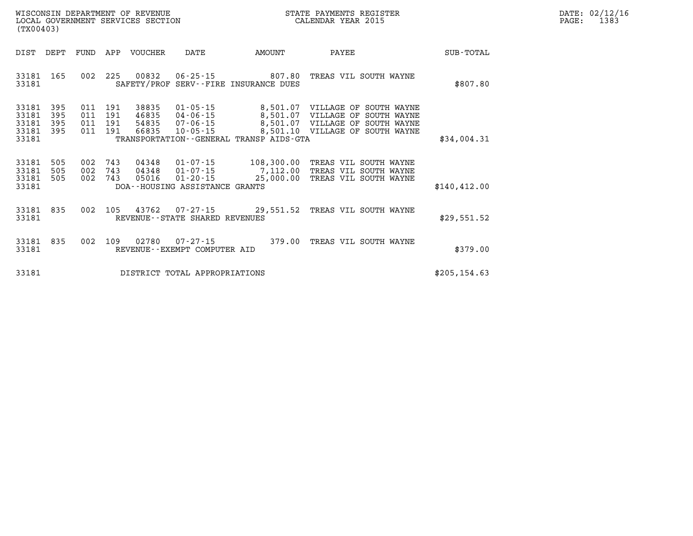| WISCONSIN DEPARTMENT OF REVENUE   | R PAYMENTS REGISTER<br>STATE | 02/12/16<br>$\mathtt{DATE}$ : |
|-----------------------------------|------------------------------|-------------------------------|
| LOCAL GOVERNMENT SERVICES SECTION | CALENDAR YEAR 2015           | 1383<br>PAGE                  |

| (TX00403)                                                             |                                                                                          |                                                                                      |                                                                                              |                                                                                                                           |               |
|-----------------------------------------------------------------------|------------------------------------------------------------------------------------------|--------------------------------------------------------------------------------------|----------------------------------------------------------------------------------------------|---------------------------------------------------------------------------------------------------------------------------|---------------|
| DIST<br>DEPT                                                          | FUND<br>APP<br><b>VOUCHER</b>                                                            | DATE                                                                                 | AMOUNT                                                                                       | PAYEE                                                                                                                     | SUB-TOTAL     |
| 33181<br>165<br>33181                                                 | 002<br>225<br>00832<br>SAFETY/PROF                                                       | $06 - 25 - 15$                                                                       | 807.80<br>SERV--FIRE INSURANCE DUES                                                          | TREAS VIL SOUTH WAYNE                                                                                                     | \$807.80      |
| 33181<br>395<br>33181<br>395<br>33181<br>395<br>33181<br>395<br>33181 | 191<br>38835<br>011<br>011<br>191<br>46835<br>191<br>011<br>54835<br>191<br>011<br>66835 | $01 - 05 - 15$<br>$04 - 06 - 15$<br>$07 - 06 - 15$<br>$10 - 05 - 15$                 | 8,501.07<br>8,501.07<br>8,501.07<br>8,501.10<br>TRANSPORTATION - - GENERAL TRANSP AIDS - GTA | VILLAGE OF<br>SOUTH WAYNE<br>VILLAGE<br>OF<br>SOUTH WAYNE<br>VILLAGE<br>OF<br>SOUTH WAYNE<br>VILLAGE<br>OF<br>SOUTH WAYNE | \$34,004.31   |
| 33181<br>505<br>33181<br>505<br>33181<br>505<br>33181                 | 002<br>743<br>04348<br>002<br>743<br>04348<br>743<br>002<br>05016                        | $01 - 07 - 15$<br>$01 - 07 - 15$<br>$01 - 20 - 15$<br>DOA--HOUSING ASSISTANCE GRANTS | 108,300.00<br>7,112.00<br>25,000.00                                                          | TREAS VIL SOUTH WAYNE<br>TREAS<br>SOUTH WAYNE<br>VIL<br>TREAS VIL SOUTH WAYNE                                             | \$140, 412.00 |
| 33181<br>835<br>33181                                                 | 002<br>105<br>43762                                                                      | $07 - 27 - 15$<br>REVENUE--STATE SHARED REVENUES                                     | 29,551.52                                                                                    | TREAS VIL SOUTH WAYNE                                                                                                     | \$29,551.52   |
| 835<br>33181<br>33181                                                 | 002<br>109<br>02780                                                                      | $07 - 27 - 15$<br>REVENUE - - EXEMPT COMPUTER AID                                    | 379.00                                                                                       | TREAS VIL SOUTH WAYNE                                                                                                     | \$379.00      |
| 33181                                                                 |                                                                                          | DISTRICT TOTAL APPROPRIATIONS                                                        |                                                                                              |                                                                                                                           | \$205, 154.63 |

WISCONSIN DEPARTMENT OF REVENUE **STATE PAYMENTS REGISTER** LOCAL GOVERNMENT SERVICES SECTION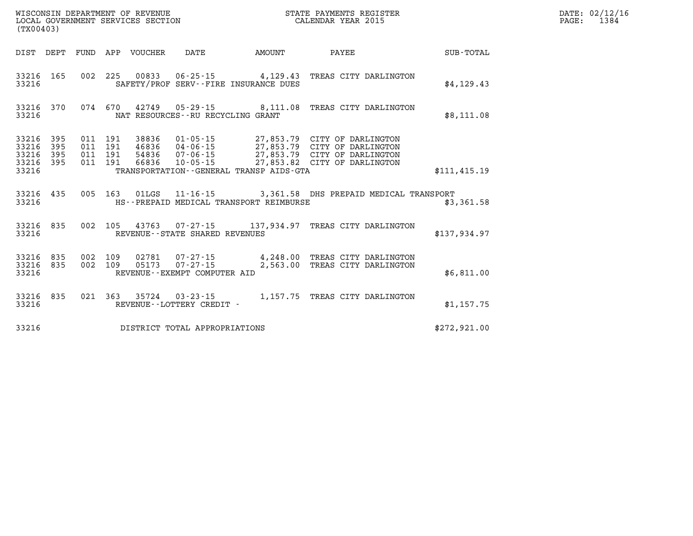| (TX00403)                                 |                          |                          |                          | WISCONSIN DEPARTMENT OF REVENUE<br>LOCAL GOVERNMENT SERVICES SECTION |                                                                                                           |                      | STATE PAYMENTS REGISTER<br>CALENDAR YEAR 2015                                                                                |               |
|-------------------------------------------|--------------------------|--------------------------|--------------------------|----------------------------------------------------------------------|-----------------------------------------------------------------------------------------------------------|----------------------|------------------------------------------------------------------------------------------------------------------------------|---------------|
| DIST                                      | DEPT                     | FUND                     | APP                      | <b>VOUCHER</b>                                                       | DATE                                                                                                      | <b>AMOUNT</b>        | PAYEE                                                                                                                        | SUB-TOTAL     |
| 33216<br>33216                            | 165                      | 002                      | 225                      | 00833                                                                | 06-25-15<br>SAFETY/PROF SERV--FIRE INSURANCE DUES                                                         | 4,129.43             | TREAS CITY DARLINGTON                                                                                                        | \$4,129.43    |
| 33216<br>33216                            | 370                      | 074                      | 670                      |                                                                      | 42749  05-29-15  8,111.08<br>NAT RESOURCES - - RU RECYCLING GRANT                                         |                      | TREAS CITY DARLINGTON                                                                                                        | \$8,111.08    |
| 33216<br>33216<br>33216<br>33216<br>33216 | 395<br>395<br>395<br>395 | 011<br>011<br>011<br>011 | 191<br>191<br>191<br>191 | 38836<br>46836<br>54836<br>66836                                     | $01 - 05 - 15$<br>$04 - 06 - 15$<br>07-06-15<br>$10 - 05 - 15$<br>TRANSPORTATION--GENERAL TRANSP AIDS-GTA |                      | 27,853.79 CITY OF DARLINGTON<br>27,853.79 CITY OF DARLINGTON<br>27,853.79 CITY OF DARLINGTON<br>27,853.82 CITY OF DARLINGTON | \$111, 415.19 |
| 33216<br>33216                            | 435                      | 005                      | 163                      | 01LGS                                                                | $11 - 16 - 15$<br>HS--PREPAID MEDICAL TRANSPORT REIMBURSE                                                 |                      | 3,361.58 DHS PREPAID MEDICAL TRANSPORT                                                                                       | \$3,361.58    |
| 33216<br>33216                            | 835                      | 002                      | 105                      |                                                                      | 43763 07-27-15 137,934.97<br>REVENUE - - STATE SHARED REVENUES                                            |                      | TREAS CITY DARLINGTON                                                                                                        | \$137,934.97  |
| 33216<br>33216<br>33216                   | 835<br>835               | 002<br>002               | 109<br>109               | 02781<br>05173                                                       | 07-27-15<br>$07 - 27 - 15$<br>REVENUE--EXEMPT COMPUTER AID                                                | 4,248.00<br>2,563.00 | TREAS CITY DARLINGTON<br>TREAS CITY DARLINGTON                                                                               | \$6,811.00    |
| 33216<br>33216                            | 835                      | 021                      | 363                      | 35724                                                                | $03 - 23 - 15$<br>REVENUE - - LOTTERY CREDIT -                                                            | 1,157.75             | TREAS CITY DARLINGTON                                                                                                        | \$1,157.75    |
| 33216                                     |                          |                          |                          |                                                                      | DISTRICT TOTAL APPROPRIATIONS                                                                             |                      |                                                                                                                              | \$272.921.00  |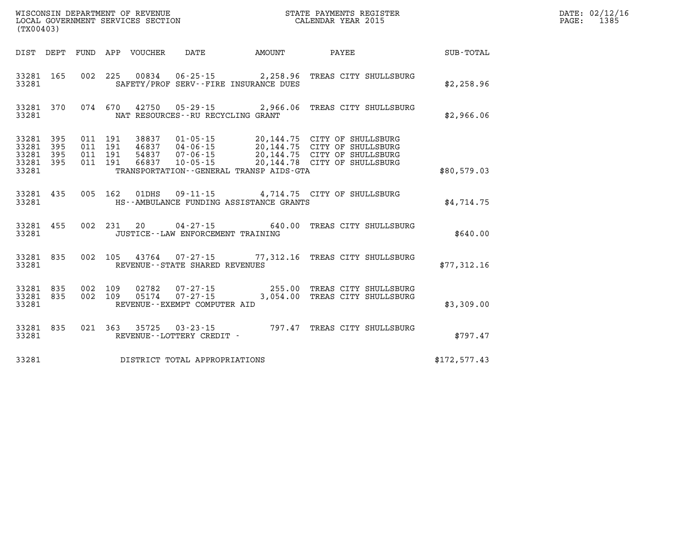| (TX00403)               |            |             |            | WISCONSIN DEPARTMENT OF REVENUE<br>LOCAL GOVERNMENT SERVICES SECTION |                                                                             |                    | STATE PAYMENTS REGISTER<br>CALENDAR YEAR 2015                |              |
|-------------------------|------------|-------------|------------|----------------------------------------------------------------------|-----------------------------------------------------------------------------|--------------------|--------------------------------------------------------------|--------------|
| DIST                    | DEPT       | <b>FUND</b> | APP        | <b>VOUCHER</b>                                                       | <b>DATE</b>                                                                 | AMOUNT             | PAYEE                                                        | SUB-TOTAL    |
| 33281<br>33281          | 165        | 002         | 225        | 00834                                                                | $06 - 25 - 15$<br>SAFETY/PROF SERV--FIRE INSURANCE DUES                     | 2,258.96           | TREAS CITY SHULLSBURG                                        | \$2,258.96   |
| 33281<br>33281          | 370        | 074         | 670        | 42750                                                                | $05 - 29 - 15$<br>NAT RESOURCES - - RU RECYCLING GRANT                      | 2,966.06           | TREAS CITY SHULLSBURG                                        | \$2,966.06   |
| 33281<br>33281          | 395<br>395 | 011<br>011  | 191<br>191 | 38837<br>46837                                                       | $01 - 05 - 15$<br>$04 - 06 - 15$                                            |                    | 20,144.75 CITY OF SHULLSBURG<br>20,144.75 CITY OF SHULLSBURG |              |
| 33281<br>33281<br>33281 | 395<br>395 | 011<br>011  | 191<br>191 | 54837<br>66837                                                       | $07 - 06 - 15$<br>$10 - 05 - 15$<br>TRANSPORTATION--GENERAL TRANSP AIDS-GTA | 20,144.78          | 20,144.75 CITY OF SHULLSBURG<br>CITY OF SHULLSBURG           | \$80,579.03  |
| 33281<br>33281          | 435        | 005         | 162        | 01DHS                                                                | $09 - 11 - 15$<br>HS--AMBULANCE FUNDING ASSISTANCE GRANTS                   |                    | 4,714.75 CITY OF SHULLSBURG                                  | \$4,714.75   |
| 33281<br>33281          | 455        | 002         | 231        | 20                                                                   | $04 - 27 - 15$<br>JUSTICE - - LAW ENFORCEMENT TRAINING                      | 640.00             | TREAS CITY SHULLSBURG                                        | \$640.00     |
| 33281<br>33281          | 835        | 002         | 105        | 43764                                                                | 07-27-15<br>REVENUE - - STATE SHARED REVENUES                               | 77,312.16          | TREAS CITY SHULLSBURG                                        | \$77,312.16  |
| 33281<br>33281<br>33281 | 835<br>835 | 002<br>002  | 109<br>109 | 02782<br>05174                                                       | $07 - 27 - 15$<br>$07 - 27 - 15$<br>REVENUE--EXEMPT COMPUTER AID            | 255.00<br>3,054.00 | TREAS CITY SHULLSBURG<br>TREAS CITY SHULLSBURG               | \$3,309.00   |
| 33281<br>33281          | 835        | 021         | 363        | 35725                                                                | $03 - 23 - 15$<br>REVENUE - - LOTTERY CREDIT -                              | 797.47             | TREAS CITY SHULLSBURG                                        | \$797.47     |
| 33281                   |            |             |            |                                                                      | DISTRICT TOTAL APPROPRIATIONS                                               |                    |                                                              | \$172,577.43 |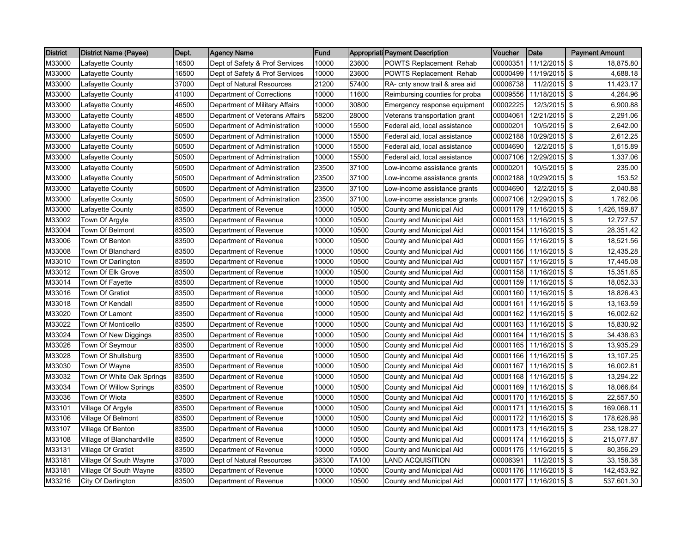| <b>District</b> | <b>District Name (Payee)</b> | Dept. | <b>Agency Name</b>             | Fund  |       | <b>Appropriati Payment Description</b> | <b>Voucher</b> | Date          | <b>Payment Amount</b> |              |
|-----------------|------------------------------|-------|--------------------------------|-------|-------|----------------------------------------|----------------|---------------|-----------------------|--------------|
| M33000          | Lafavette County             | 16500 | Dept of Safety & Prof Services | 10000 | 23600 | POWTS Replacement Rehab                | 00000351       | 11/12/2015 \$ |                       | 18,875.80    |
| M33000          | Lafayette County             | 16500 | Dept of Safety & Prof Services | 10000 | 23600 | POWTS Replacement Rehab                | 00000499       | 11/19/2015 \$ |                       | 4,688.18     |
| M33000          | Lafayette County             | 37000 | Dept of Natural Resources      | 21200 | 57400 | RA- cnty snow trail & area aid         | 00006738       | 11/2/2015 \$  |                       | 11,423.17    |
| M33000          | Lafayette County             | 41000 | Department of Corrections      | 10000 | 11600 | Reimbursing counties for proba         | 00009556       | 11/18/2015 \$ |                       | 4,264.96     |
| M33000          | Lafayette County             | 46500 | Department of Military Affairs | 10000 | 30800 | Emergency response equipment           | 00002225       | 12/3/2015 \$  |                       | 6,900.88     |
| M33000          | Lafayette County             | 48500 | Department of Veterans Affairs | 58200 | 28000 | Veterans transportation grant          | 00004061       | 12/21/2015 \$ |                       | 2,291.06     |
| M33000          | Lafayette County             | 50500 | Department of Administration   | 10000 | 15500 | Federal aid, local assistance          | 00000201       | 10/5/2015 \$  |                       | 2,642.00     |
| M33000          | Lafayette County             | 50500 | Department of Administration   | 10000 | 15500 | Federal aid, local assistance          | 00002188       | 10/29/2015 \$ |                       | 2,612.25     |
| M33000          | Lafayette County             | 50500 | Department of Administration   | 10000 | 15500 | Federal aid, local assistance          | 00004690       | 12/2/2015 \$  |                       | 1,515.89     |
| M33000          | Lafayette County             | 50500 | Department of Administration   | 10000 | 15500 | Federal aid, local assistance          | 00007106       | 12/29/2015 \$ |                       | 1,337.06     |
| M33000          | Lafayette County             | 50500 | Department of Administration   | 23500 | 37100 | Low-income assistance grants           | 00000201       | 10/5/2015 \$  |                       | 235.00       |
| M33000          | Lafayette County             | 50500 | Department of Administration   | 23500 | 37100 | Low-income assistance grants           | 00002188       | 10/29/2015 \$ |                       | 153.52       |
| M33000          | Lafayette County             | 50500 | Department of Administration   | 23500 | 37100 | Low-income assistance grants           | 00004690       | 12/2/2015 \$  |                       | 2,040.88     |
| M33000          | Lafayette County             | 50500 | Department of Administration   | 23500 | 37100 | Low-income assistance grants           | 00007106       | 12/29/2015 \$ |                       | 1,762.06     |
| M33000          | Lafayette County             | 83500 | Department of Revenue          | 10000 | 10500 | County and Municipal Aid               | 00001179       | 11/16/2015 \$ |                       | 1,426,159.87 |
| M33002          | Town Of Argyle               | 83500 | Department of Revenue          | 10000 | 10500 | County and Municipal Aid               | 00001153       | 11/16/2015 \$ |                       | 12,727.57    |
| M33004          | Town Of Belmont              | 83500 | Department of Revenue          | 10000 | 10500 | County and Municipal Aid               | 00001154       | 11/16/2015 \$ |                       | 28,351.42    |
| M33006          | Town Of Benton               | 83500 | Department of Revenue          | 10000 | 10500 | County and Municipal Aid               | 00001155       | 11/16/2015 \$ |                       | 18,521.56    |
| M33008          | Town Of Blanchard            | 83500 | Department of Revenue          | 10000 | 10500 | County and Municipal Aid               | 00001156       | 11/16/2015 \$ |                       | 12,435.28    |
| M33010          | Town Of Darlington           | 83500 | Department of Revenue          | 10000 | 10500 | County and Municipal Aid               | 00001157       | 11/16/2015 \$ |                       | 17,445.08    |
| M33012          | Town Of Elk Grove            | 83500 | Department of Revenue          | 10000 | 10500 | County and Municipal Aid               | 00001158       | 11/16/2015 \$ |                       | 15,351.65    |
| M33014          | Town Of Fayette              | 83500 | Department of Revenue          | 10000 | 10500 | County and Municipal Aid               | 00001159       | 11/16/2015 \$ |                       | 18,052.33    |
| M33016          | <b>Town Of Gratiot</b>       | 83500 | Department of Revenue          | 10000 | 10500 | County and Municipal Aid               | 00001160       | 11/16/2015 \$ |                       | 18,826.43    |
| M33018          | Town Of Kendall              | 83500 | Department of Revenue          | 10000 | 10500 | County and Municipal Aid               | 00001161       | 11/16/2015 \$ |                       | 13,163.59    |
| M33020          | Town Of Lamont               | 83500 | Department of Revenue          | 10000 | 10500 | County and Municipal Aid               | 00001162       | 11/16/2015 \$ |                       | 16,002.62    |
| M33022          | Town Of Monticello           | 83500 | Department of Revenue          | 10000 | 10500 | County and Municipal Aid               | 00001163       | 11/16/2015 \$ |                       | 15,830.92    |
| M33024          | Town Of New Diggings         | 83500 | Department of Revenue          | 10000 | 10500 | County and Municipal Aid               | 00001164       | 11/16/2015 \$ |                       | 34,438.63    |
| M33026          | Town Of Seymour              | 83500 | Department of Revenue          | 10000 | 10500 | County and Municipal Aid               | 00001165       | 11/16/2015 \$ |                       | 13,935.29    |
| M33028          | Town Of Shullsburg           | 83500 | Department of Revenue          | 10000 | 10500 | County and Municipal Aid               | 00001166       | 11/16/2015 \$ |                       | 13,107.25    |
| M33030          | Town Of Wayne                | 83500 | Department of Revenue          | 10000 | 10500 | County and Municipal Aid               | 00001167       | 11/16/2015 \$ |                       | 16,002.81    |
| M33032          | Town Of White Oak Springs    | 83500 | Department of Revenue          | 10000 | 10500 | County and Municipal Aid               | 00001168       | 11/16/2015 \$ |                       | 13,294.22    |
| M33034          | Town Of Willow Springs       | 83500 | Department of Revenue          | 10000 | 10500 | County and Municipal Aid               | 00001169       | 11/16/2015 \$ |                       | 18,066.64    |
| M33036          | Town Of Wiota                | 83500 | Department of Revenue          | 10000 | 10500 | County and Municipal Aid               | 00001170       | 11/16/2015 \$ |                       | 22,557.50    |
| M33101          | Village Of Argyle            | 83500 | Department of Revenue          | 10000 | 10500 | County and Municipal Aid               | 00001171       | 11/16/2015 \$ |                       | 169,068.11   |
| M33106          | Village Of Belmont           | 83500 | Department of Revenue          | 10000 | 10500 | County and Municipal Aid               | 00001172       | 11/16/2015 \$ |                       | 178,626.98   |
| M33107          | Village Of Benton            | 83500 | Department of Revenue          | 10000 | 10500 | County and Municipal Aid               | 00001173       | 11/16/2015 \$ |                       | 238,128.27   |
| M33108          | Village of Blanchardville    | 83500 | Department of Revenue          | 10000 | 10500 | County and Municipal Aid               | 00001174       | 11/16/2015 \$ |                       | 215,077.87   |
| M33131          | <b>Village Of Gratiot</b>    | 83500 | Department of Revenue          | 10000 | 10500 | County and Municipal Aid               | 00001175       | 11/16/2015 \$ |                       | 80,356.29    |
| M33181          | Village Of South Wayne       | 37000 | Dept of Natural Resources      | 36300 | TA100 | LAND ACQUISITION                       | 00006391       | 11/2/2015 \$  |                       | 33,158.38    |
| M33181          | Village Of South Wayne       | 83500 | Department of Revenue          | 10000 | 10500 | County and Municipal Aid               | 00001176       | 11/16/2015 \$ |                       | 142,453.92   |
| M33216          | City Of Darlington           | 83500 | Department of Revenue          | 10000 | 10500 | County and Municipal Aid               | 00001177       | 11/16/2015 \$ |                       | 537,601.30   |